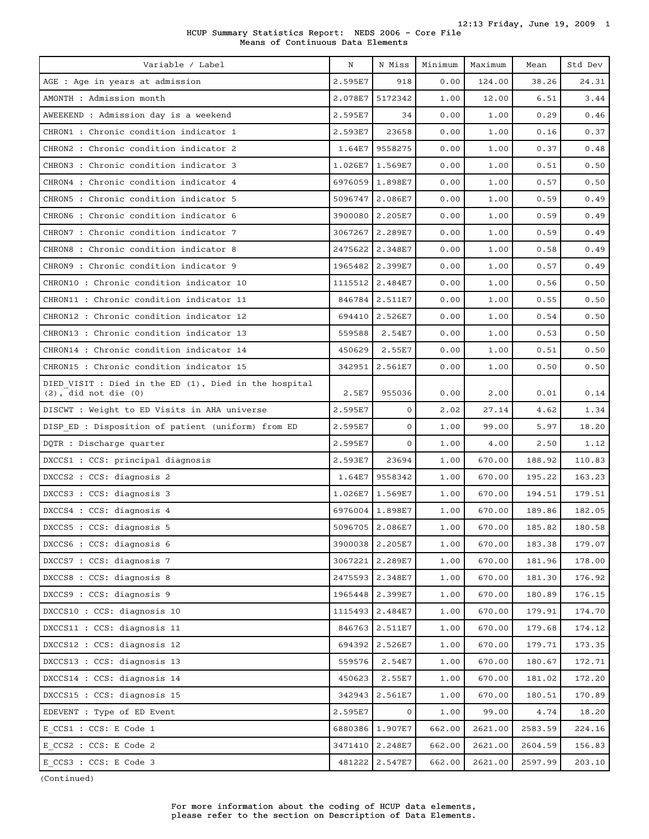| HCUP Summary Statistics Report: NEDS 2006 - Core File |  |                                   |  |  |  |
|-------------------------------------------------------|--|-----------------------------------|--|--|--|
|                                                       |  | Means of Continuous Data Elements |  |  |  |

| Variable / Label                                                                   | N       | N Miss          | Minimum | Maximum | Mean    | Std Dev |
|------------------------------------------------------------------------------------|---------|-----------------|---------|---------|---------|---------|
| AGE : Age in years at admission                                                    | 2.595E7 | 918             | 0.00    | 124.00  | 38.26   | 24.31   |
| AMONTH : Admission month                                                           | 2.078E7 | 5172342         | 1.00    | 12.00   | 6.51    | 3.44    |
| AWEEKEND : Admission day is a weekend                                              | 2.595E7 | 34              | 0.00    | 1.00    | 0.29    | 0.46    |
| CHRON1 : Chronic condition indicator 1                                             | 2.593E7 | 23658           | 0.00    | 1.00    | 0.16    | 0.37    |
| CHRON2 : Chronic condition indicator 2                                             | 1.64E7  | 9558275         | 0.00    | 1.00    | 0.37    | 0.48    |
| CHRON3 : Chronic condition indicator 3                                             | 1.026E7 | 1.569E7         | 0.00    | 1.00    | 0.51    | 0.50    |
| CHRON4 : Chronic condition indicator 4                                             | 6976059 | 1.898E7         | 0.00    | 1.00    | 0.57    | 0.50    |
| CHRON5 : Chronic condition indicator 5                                             | 5096747 | 2.086E7         | 0.00    | 1.00    | 0.59    | 0.49    |
| CHRON6 : Chronic condition indicator 6                                             | 3900080 | 2.205E7         | 0.00    | 1.00    | 0.59    | 0.49    |
| CHRON7 : Chronic condition indicator 7                                             | 3067267 | 2.289E7         | 0.00    | 1.00    | 0.59    | 0.49    |
| CHRON8 : Chronic condition indicator 8                                             | 2475622 | 2.348E7         | 0.00    | 1.00    | 0.58    | 0.49    |
| CHRON9: Chronic condition indicator 9                                              | 1965482 | 2.399E7         | 0.00    | 1.00    | 0.57    | 0.49    |
| CHRON10 : Chronic condition indicator 10                                           | 1115512 | 2.484E7         | 0.00    | 1.00    | 0.56    | 0.50    |
| CHRON11 : Chronic condition indicator 11                                           | 846784  | 2.511E7         | 0.00    | 1.00    | 0.55    | 0.50    |
| CHRON12 : Chronic condition indicator 12                                           | 694410  | 2.526E7         | 0.00    | 1.00    | 0.54    | 0.50    |
| CHRON13 : Chronic condition indicator 13                                           | 559588  | 2.54E7          | 0.00    | 1.00    | 0.53    | 0.50    |
| CHRON14 : Chronic condition indicator 14                                           | 450629  | 2.55E7          | 0.00    | 1.00    | 0.51    | 0.50    |
| CHRON15 : Chronic condition indicator 15                                           | 342951  | 2.561E7         | 0.00    | 1.00    | 0.50    | 0.50    |
| DIED VISIT : Died in the ED (1), Died in the hospital<br>$(2)$ , did not die $(0)$ | 2.5E7   | 955036          | 0.00    | 2.00    | 0.01    | 0.14    |
| DISCWT : Weight to ED Visits in AHA universe                                       | 2.595E7 | $\mathbf{O}$    | 2.02    | 27.14   | 4.62    | 1.34    |
| DISP ED : Disposition of patient (uniform) from ED                                 | 2.595E7 | $\Omega$        | 1.00    | 99.00   | 5.97    | 18.20   |
| DQTR : Discharge quarter                                                           | 2.595E7 | $\mathbf{O}$    | 1.00    | 4.00    | 2.50    | 1.12    |
| DXCCS1 : CCS: principal diagnosis                                                  | 2.593E7 | 23694           | 1.00    | 670.00  | 188.92  | 110.83  |
| DXCCS2 : CCS: diagnosis 2                                                          | 1.64E7  | 9558342         | 1.00    | 670.00  | 195.22  | 163.23  |
| DXCCS3 : CCS: diagnosis 3                                                          | 1.026E7 | 1.569E7         | 1.00    | 670.00  | 194.51  | 179.51  |
| DXCCS4 : CCS: diagnosis 4                                                          | 6976004 | 1.898E7         | 1.00    | 670.00  | 189.86  | 182.05  |
| DXCCS5 : CCS: diagnosis 5                                                          |         | 5096705 2.086E7 | 1.00    | 670.00  | 185.82  | 180.58  |
| DXCCS6 : CCS: diagnosis 6                                                          |         | 3900038 2.205E7 | 1.00    | 670.00  | 183.38  | 179.07  |
| DXCCS7 : CCS: diagnosis 7                                                          |         | 3067221 2.289E7 | 1.00    | 670.00  | 181.96  | 178.00  |
| DXCCS8 : CCS: diagnosis 8                                                          |         | 2475593 2.348E7 | 1.00    | 670.00  | 181.30  | 176.92  |
| DXCCS9 : CCS: diagnosis 9                                                          | 1965448 | 2.399E7         | 1.00    | 670.00  | 180.89  | 176.15  |
| DXCCS10 : CCS: diagnosis 10                                                        |         | 1115493 2.484E7 | 1.00    | 670.00  | 179.91  | 174.70  |
| DXCCS11 : CCS: diagnosis 11                                                        | 846763  | 2.511E7         | 1.00    | 670.00  | 179.68  | 174.12  |
| DXCCS12 : CCS: diagnosis 12                                                        | 694392  | 2.526E7         | 1.00    | 670.00  | 179.71  | 173.35  |
| DXCCS13 : CCS: diagnosis 13                                                        | 559576  | 2.54E7          | 1.00    | 670.00  | 180.67  | 172.71  |
| DXCCS14 : CCS: diagnosis 14                                                        | 450623  | 2.55E7          | 1.00    | 670.00  | 181.02  | 172.20  |
| DXCCS15 : CCS: diagnosis 15                                                        | 342943  | 2.561E7         | 1.00    | 670.00  | 180.51  | 170.89  |
| EDEVENT : Type of ED Event                                                         | 2.595E7 | $\mathbf{0}$    | 1.00    | 99.00   | 4.74    | 18.20   |
| E CCS1 : CCS: E Code 1                                                             |         | 6880386 1.907E7 | 662.00  | 2621.00 | 2583.59 | 224.16  |
| E CCS2 : CCS: E Code 2                                                             | 3471410 | 2.248E7         | 662.00  | 2621.00 | 2604.59 | 156.83  |
| E CCS3 : CCS: E Code 3                                                             |         | 481222 2.547E7  | 662.00  | 2621.00 | 2597.99 | 203.10  |

(Continued)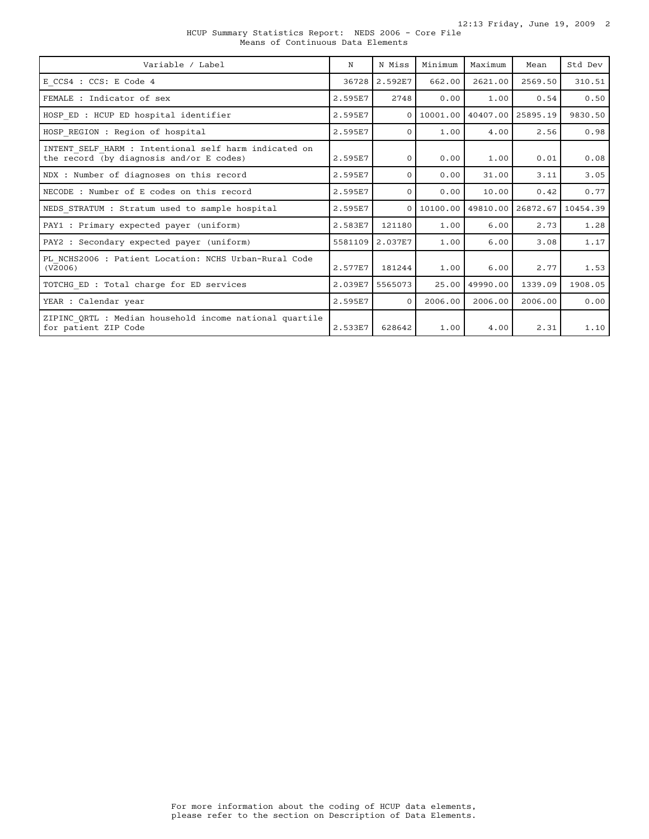| HCUP Summary Statistics Report: NEDS 2006 - Core File |  |                                   |  |  |  |  |
|-------------------------------------------------------|--|-----------------------------------|--|--|--|--|
|                                                       |  | Means of Continuous Data Elements |  |  |  |  |

| Variable / Label                                                                                  | N       | N Miss          | Minimum | Maximum                        | Mean    | Std Dev  |
|---------------------------------------------------------------------------------------------------|---------|-----------------|---------|--------------------------------|---------|----------|
| E CCS4 : CCS: E Code 4                                                                            | 36728   | 2.592E7         | 662.00  | 2621.00                        | 2569.50 | 310.51   |
| FEMALE : Indicator of sex                                                                         | 2.595E7 | 2748            | 0.00    | 1.00                           | 0.54    | 0.50     |
| HOSP ED : HCUP ED hospital identifier                                                             | 2.595E7 | $\Omega$        |         | 10001.00 40407.00 25895.19     |         | 9830.50  |
| HOSP REGION : Region of hospital                                                                  | 2.595E7 | $\Omega$        | 1.00    | 4.00                           | 2.56    | 0.98     |
| INTENT SELF HARM : Intentional self harm indicated on<br>the record (by diagnosis and/or E codes) | 2.595E7 | $\Omega$        | 0.00    | 1.00                           | 0.01    | 0.08     |
| NDX : Number of diagnoses on this record                                                          | 2.595E7 | $\Omega$        | 0.00    | 31.00                          | 3.11    | 3.05     |
| NECODE : Number of E codes on this record                                                         | 2.595E7 | $\Omega$        | 0.00    | 10.00                          | 0.42    | 0.77     |
| NEDS STRATUM : Stratum used to sample hospital                                                    | 2.595E7 | $\Omega$        |         | 10100.00   49810.00   26872.67 |         | 10454.39 |
| PAY1 : Primary expected payer (uniform)                                                           | 2.583E7 | 121180          | 1.00    | 6.00                           | 2.73    | 1.28     |
| PAY2 : Secondary expected payer (uniform)                                                         | 5581109 | 2.037E7         | 1.00    | 6.00                           | 3.08    | 1.17     |
| PL NCHS2006 : Patient Location: NCHS Urban-Rural Code<br>(V2006)                                  | 2.577E7 | 181244          | 1.00    | 6.00                           | 2.77    | 1.53     |
| TOTCHG ED : Total charge for ED services                                                          |         | 2.039E7 5565073 | 25.00   | 49990.00                       | 1339.09 | 1908.05  |
| YEAR : Calendar year                                                                              | 2.595E7 | $\Omega$        | 2006.00 | 2006.00                        | 2006.00 | 0.00     |
| ZIPINC ORTL : Median household income national quartile<br>for patient ZIP Code                   | 2.533E7 | 628642          | 1.00    | 4.00                           | 2.31    | 1.10     |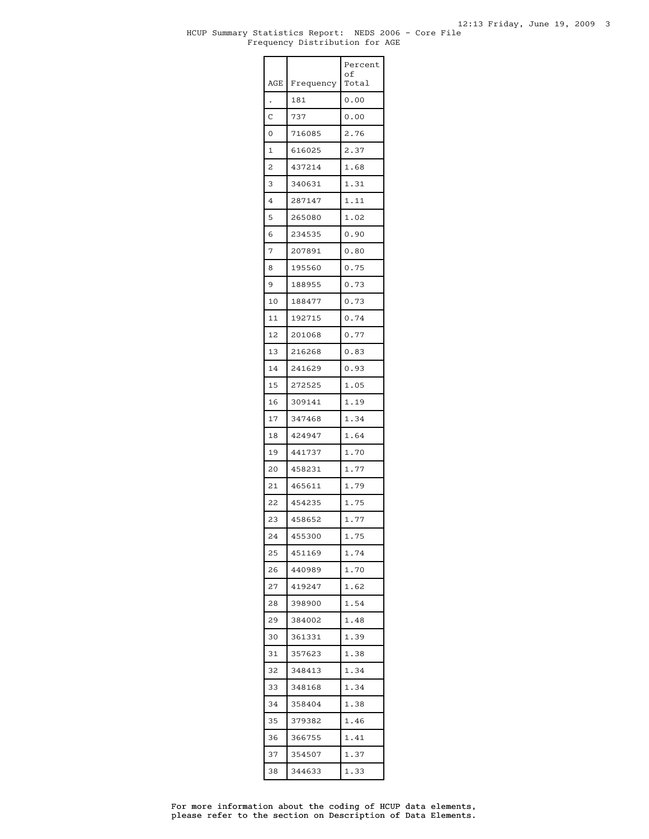### HCUP Summary Statistics Report: NEDS 2006 - Core File Frequency Distribution for AGE

|     |           | Percent<br>οf |
|-----|-----------|---------------|
| AGE | Frequency | Total         |
|     | 181       | 0.00          |
| C   | 737       | 0.00          |
| 0   | 716085    | 2.76          |
| 1   | 616025    | 2.37          |
| 2   | 437214    | 1.68          |
| 3   | 340631    | 1.31          |
| 4   | 287147    | 1.11          |
| 5   | 265080    | 1.02          |
| 6   | 234535    | 0.90          |
| 7   | 207891    | 0.80          |
| 8   | 195560    | 0.75          |
| 9   | 188955    | 0.73          |
| 10  | 188477    | 0.73          |
| 11  | 192715    | 0.74          |
| 12  | 201068    | 0.77          |
| 13  | 216268    | 0.83          |
| 14  | 241629    | 0.93          |
| 15  | 272525    | 1.05          |
| 16  | 309141    | 1.19          |
| 17  | 347468    | 1.34          |
| 18  | 424947    | 1.64          |
| 19  | 441737    | 1.70          |
| 20  | 458231    | 1.77          |
| 21  | 465611    | 1.79          |
| 22  | 454235    | 1.75          |
| 23  | 458652    | 1.77          |
| 24  | 455300    | 1.75          |
| 25  | 451169    | 1.74          |
| 26  | 440989    | 1.70          |
| 27  | 419247    | 1.62          |
| 28  | 398900    | 1.54          |
| 29  | 384002    | 1.48          |
| 30  | 361331    | 1.39          |
| 31  | 357623    | 1.38          |
| 32  | 348413    | 1.34          |
| 33  | 348168    | 1.34          |
| 34  | 358404    | 1.38          |
| 35  | 379382    | 1.46          |
| 36  | 366755    | 1.41          |
| 37  | 354507    | 1.37          |
| 38  | 344633    | 1.33          |

please refer to the section on Description of Data Elements. For more information about the coding of HCUP data elements,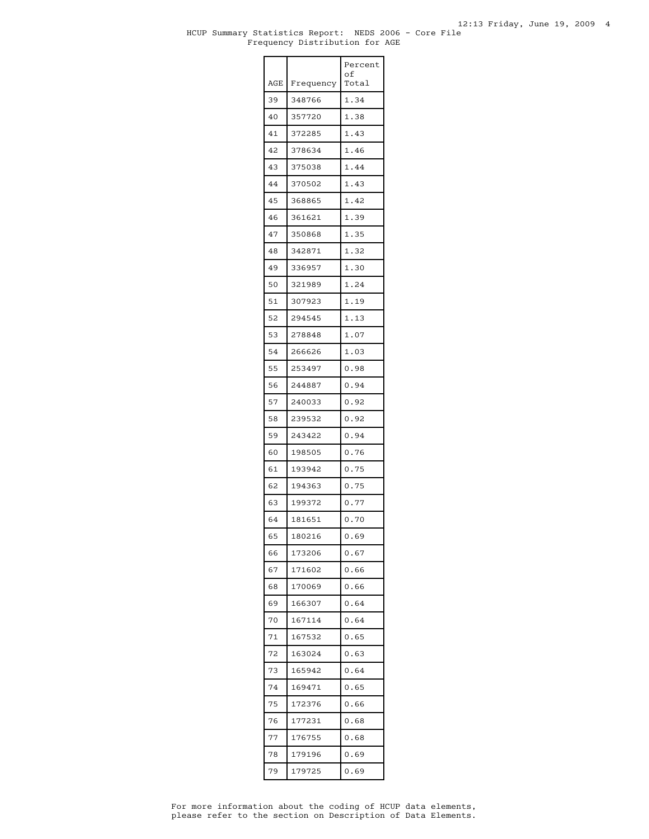### HCUP Summary Statistics Report: NEDS 2006 - Core File Frequency Distribution for AGE

| AGE | Frequency | Percent<br>of<br>Total |
|-----|-----------|------------------------|
| 39  | 348766    | 1.34                   |
| 40  | 357720    | 1.38                   |
| 41  | 372285    | 1.43                   |
| 42  | 378634    | 1.46                   |
| 43  | 375038    | 1.44                   |
| 44  | 370502    | 1.43                   |
| 45  | 368865    | 1.42                   |
| 46  | 361621    | 1.39                   |
| 47  | 350868    | 1.35                   |
| 48  | 342871    | 1.32                   |
| 49  | 336957    | 1.30                   |
| 50  | 321989    | 1.24                   |
| 51  | 307923    | 1.19                   |
| 52  | 294545    | 1.13                   |
| 53  | 278848    | 1.07                   |
| 54  | 266626    | 1.03                   |
| 55  | 253497    | 0.98                   |
| 56  | 244887    | 0.94                   |
| 57  | 240033    | 0.92                   |
| 58  | 239532    | 0.92                   |
| 59  | 243422    | 0.94                   |
| 60  | 198505    | 0.76                   |
| 61  | 193942    | 0.75                   |
| 62  | 194363    | 0.75                   |
| 63  | 199372    | 0.77                   |
| 64  | 181651    | 0.70                   |
| 65  | 180216    | 0.69                   |
| 66  | 173206    | 0.67                   |
| 67  | 171602    | 0.66                   |
| 68  | 170069    | 0.66                   |
| 69  | 166307    | 0.64                   |
| 70  | 167114    | 0.64                   |
| 71  | 167532    | 0.65                   |
| 72  | 163024    | 0.63                   |
| 73  | 165942    | 0.64                   |
| 74  | 169471    | 0.65                   |
| 75  | 172376    | 0.66                   |
| 76  | 177231    | 0.68                   |
| 77  | 176755    | 0.68                   |
| 78  | 179196    | 0.69                   |
| 79  | 179725    | 0.69                   |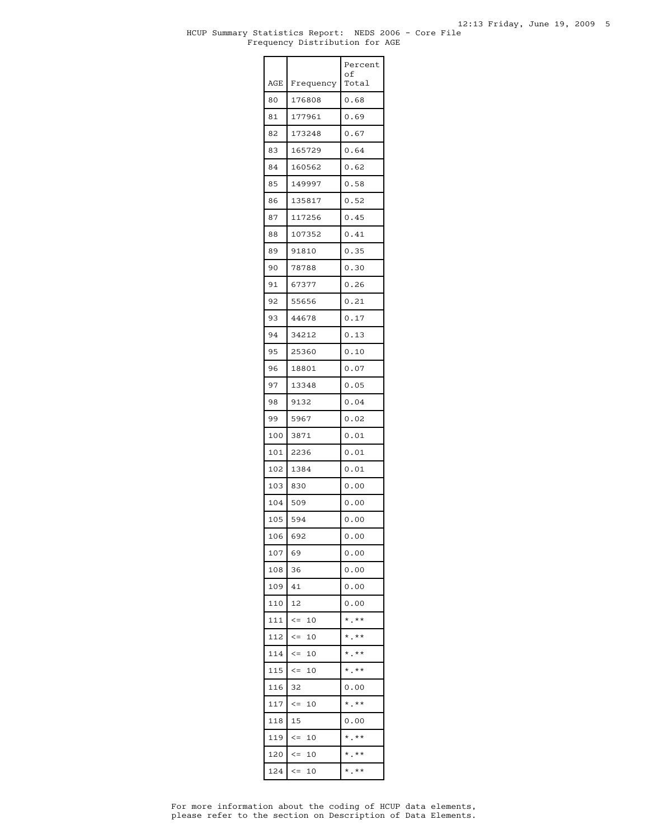### HCUP Summary Statistics Report: NEDS 2006 - Core File Frequency Distribution for AGE

|     |                  | Percent<br>οf |
|-----|------------------|---------------|
| AGE | Frequency        | Total         |
| 80  | 176808           | 0.68          |
| 81  | 177961           | 0.69          |
| 82  | 173248           | 0.67          |
| 83  | 165729           | 0.64          |
| 84  | 160562           | 0.62          |
| 85  | 149997           | 0.58          |
| 86  | 135817           | 0.52          |
| 87  | 117256           | 0.45          |
| 88  | 107352           | 0.41          |
| 89  | 91810            | 0.35          |
| 90  | 78788            | 0.30          |
| 91  | 67377            | 0.26          |
| 92  | 55656            | 0.21          |
| 93  | 44678            | 0.17          |
| 94  | 34212            | 0.13          |
| 95  | 25360            | 0.10          |
| 96  | 18801            | 0.07          |
| 97  | 13348            | 0.05          |
| 98  | 9132             | 0.04          |
| 99  | 5967             | 0.02          |
| 100 | 3871             | 0.01          |
| 101 | 2236             | 0.01          |
| 102 | 1384             | 0.01          |
| 103 | 830              | 0.00          |
| 104 | 509              | 0.00          |
| 105 | 594              | 0.00          |
| 106 | 692              | 0.00          |
| 107 | 69               | 0.00          |
| 108 | 36               | 0.00          |
| 109 | 41               | 0.00          |
| 110 | 12               | 0.00          |
| 111 | $\leq$ $=$<br>10 | $*$ .**       |
| 112 | $\leq$ $=$<br>10 | $*$ . $**$    |
| 114 | $\lt =$<br>10    | $*$ .**       |
| 115 | 10<br>$\lt =$    | $*$ .**       |
| 116 | 32               | 0.00          |
| 117 | $\lt =$<br>10    | $*$ .**       |
| 118 | 15               | 0.00          |
| 119 | $\leq$ $=$<br>10 | $*$ .**       |
| 120 | $\lt =$<br>10    | $*$ .**       |
| 124 | $\lt =$<br>10    | $*$ .**       |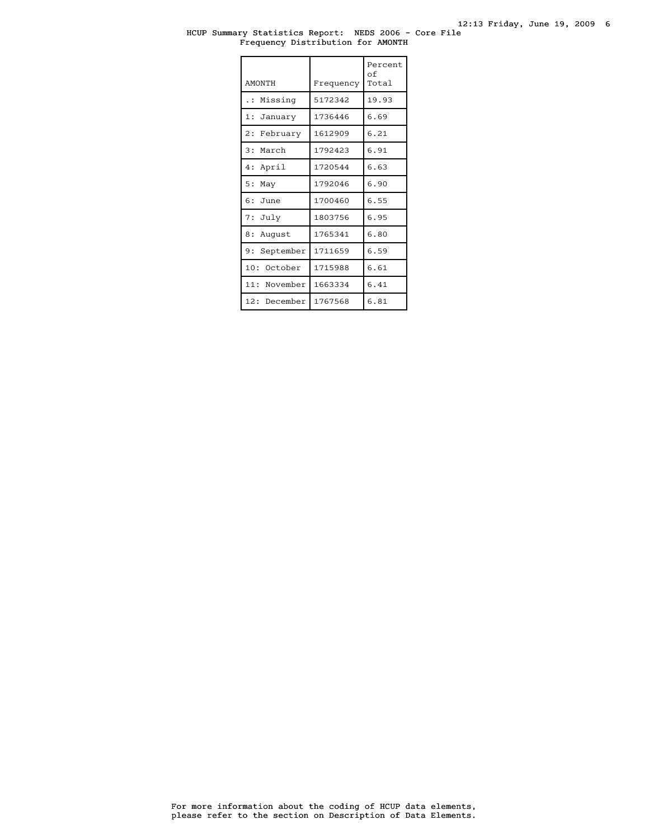### HCUP Summary Statistics Report: NEDS 2006 - Core File Frequency Distribution for AMONTH

| <b>AMONTH</b>  | Frequency | Percent<br>οf<br>Total |
|----------------|-----------|------------------------|
| Missing<br>.   | 5172342   | 19.93                  |
| 1: January     | 1736446   | 6.69                   |
| 2: February    | 1612909   | 6.21                   |
| 3: March       | 1792423   | 6.91                   |
| 4: April       | 1720544   | 6.63                   |
| 5:<br>May      | 1792046   | 6.90                   |
| $6:$ June      | 1700460   | 6.55                   |
| 7: July        | 1803756   | 6.95                   |
| 8: August      | 1765341   | 6.80                   |
| 9: September   | 1711659   | 6.59                   |
| 10:<br>October | 1715988   | 6.61                   |
| 11: November   | 1663334   | 6.41                   |
| 12: December   | 1767568   | 6.81                   |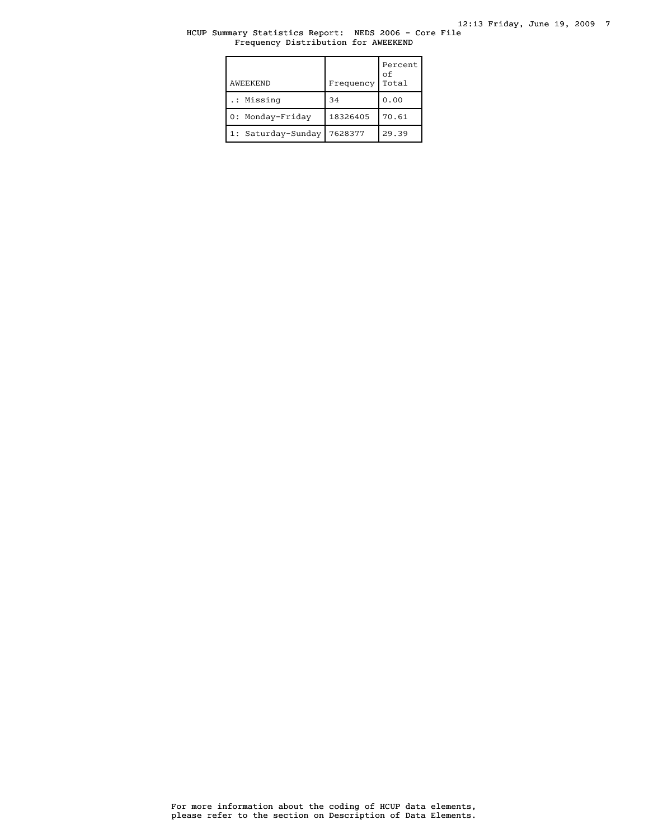# HCUP Summary Statistics Report: NEDS 2006 - Core File Frequency Distribution for AWEEKEND

| AWEEKEND           | Frequency | Percent<br>οf<br>Total |
|--------------------|-----------|------------------------|
| .: Missing         | 34        | 0.00                   |
| 0: Monday-Friday   | 18326405  | 70.61                  |
| 1: Saturday-Sunday | 7628377   | 29.39                  |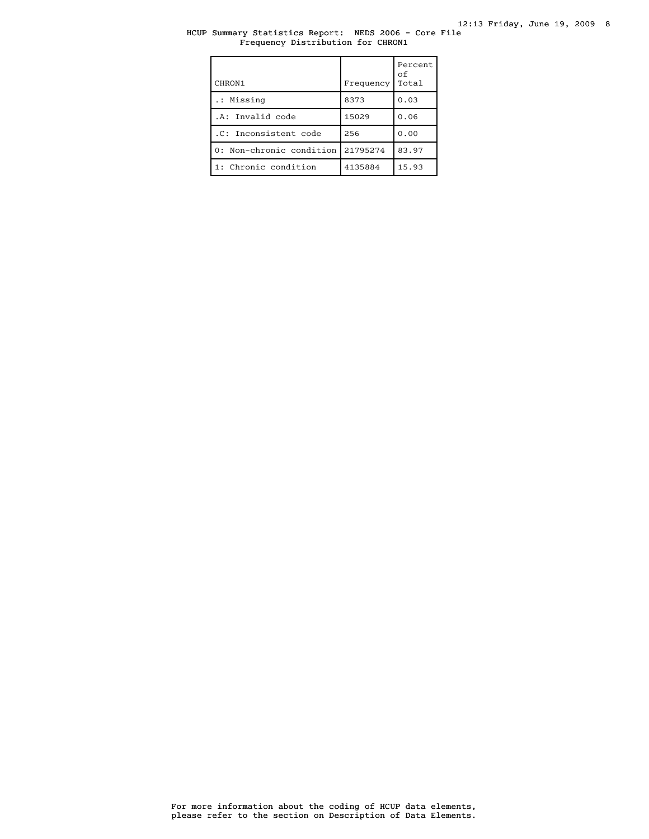# HCUP Summary Statistics Report: NEDS 2006 - Core File Frequency Distribution for CHRON1

| CHRON1                   | Frequency | Percent<br>οf<br>Total |
|--------------------------|-----------|------------------------|
| .: Missing               | 8373      | 0.03                   |
| .A: Invalid code         | 15029     | 0.06                   |
| .C: Inconsistent code    | 256       | 0.00                   |
| 0: Non-chronic condition | 21795274  | 83.97                  |
| 1: Chronic condition     | 4135884   | 15.93                  |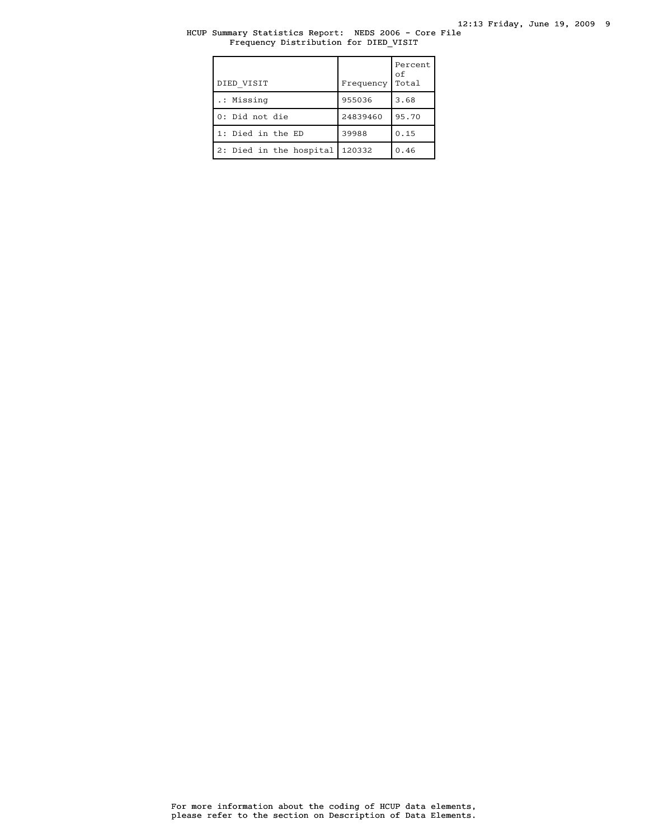# HCUP Summary Statistics Report: NEDS 2006 - Core File Frequency Distribution for DIED\_VISIT

| DIED VISIT              | Frequency | Percent<br>оf<br>Total |
|-------------------------|-----------|------------------------|
| .: Missing              | 955036    | 3.68                   |
| 0: Did not die          | 24839460  | 95.70                  |
| 1: Died in the ED       | 39988     | 0.15                   |
| 2: Died in the hospital | 120332    | 0.46                   |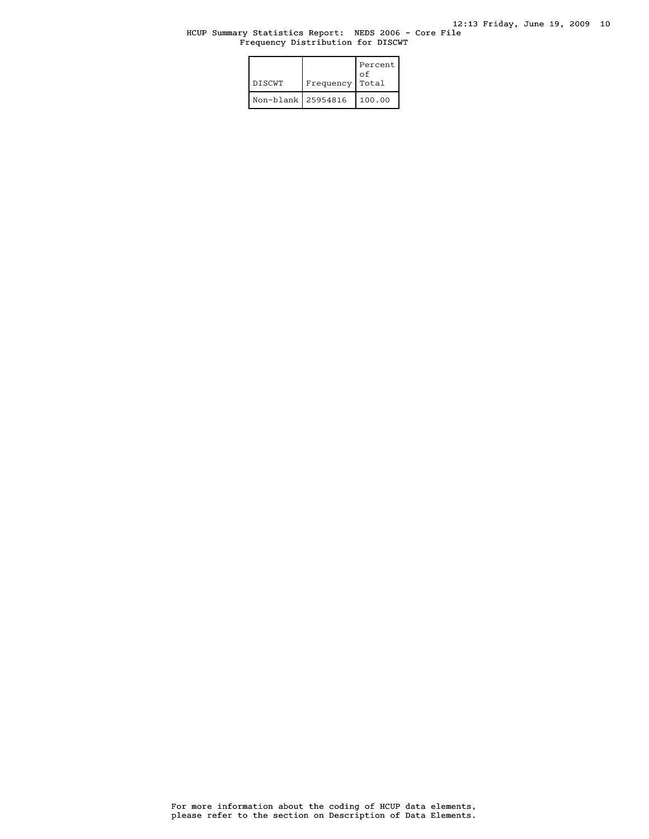# HCUP Summary Statistics Report: NEDS 2006 - Core File Frequency Distribution for DISCWT

| <b>DISCWT</b>      | Frequency | Percent<br>οf<br>Total |
|--------------------|-----------|------------------------|
| Non-blank 25954816 |           | 100.00                 |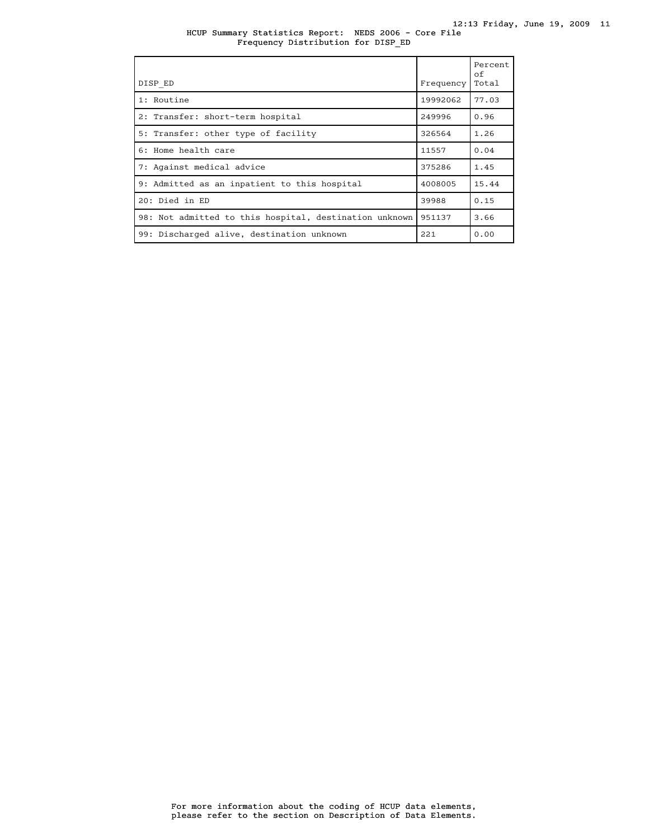HCUP Summary Statistics Report: NEDS 2006 - Core File Frequency Distribution for DISP\_ED

| DISP ED                                                | Frequency | Percent<br>of<br>Total |
|--------------------------------------------------------|-----------|------------------------|
| 1: Routine                                             | 19992062  | 77.03                  |
| 2: Transfer: short-term hospital                       | 249996    | 0.96                   |
| 5: Transfer: other type of facility                    | 326564    | 1.26                   |
| 6: Home health care                                    | 11557     | 0.04                   |
| 7: Against medical advice                              | 375286    | 1.45                   |
| 9: Admitted as an inpatient to this hospital           | 4008005   | 15.44                  |
| 20: Died in ED                                         | 39988     | 0.15                   |
| 98: Not admitted to this hospital, destination unknown | 951137    | 3.66                   |
| 99: Discharged alive, destination unknown              | 221       | 0.00                   |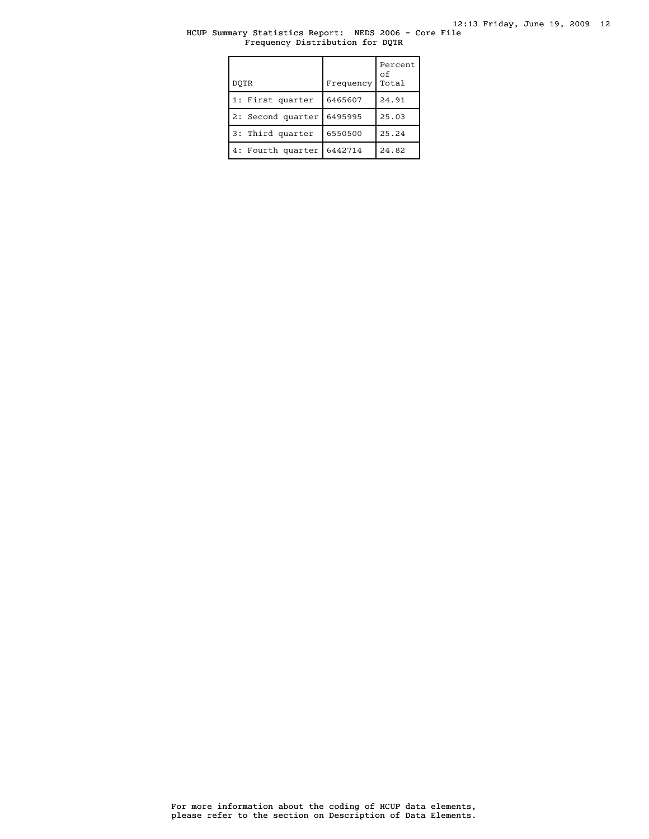# HCUP Summary Statistics Report: NEDS 2006 - Core File Frequency Distribution for DQTR

| DOTR              | Frequency | Percent<br>οf<br>Total |
|-------------------|-----------|------------------------|
| 1: First quarter  | 6465607   | 24.91                  |
| 2: Second quarter | 6495995   | 25.03                  |
| 3: Third quarter  | 6550500   | 25.24                  |
| 4: Fourth quarter | 6442714   | 24.82                  |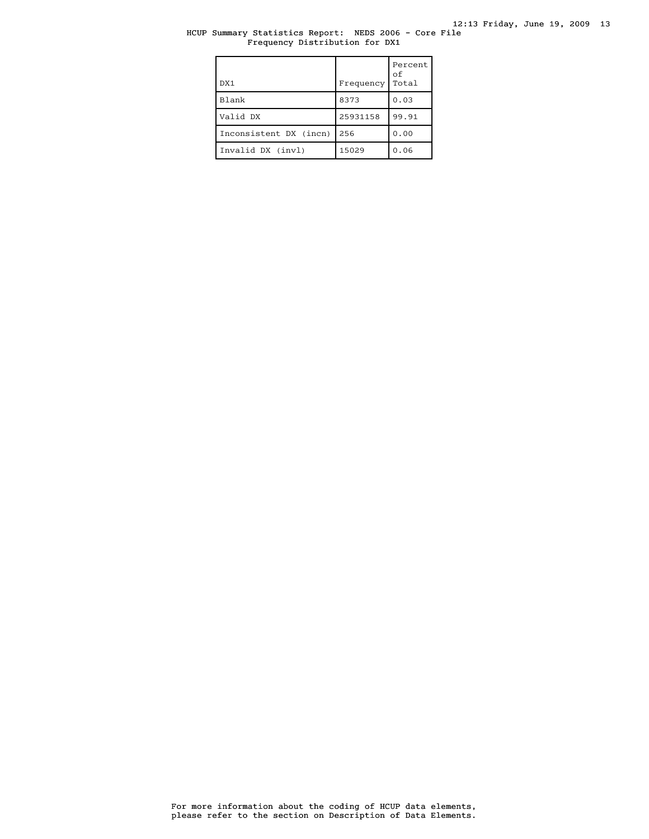# HCUP Summary Statistics Report: NEDS 2006 - Core File Frequency Distribution for DX1

| DX1                    | Frequency | Percent<br>οf<br>Total |
|------------------------|-----------|------------------------|
| <b>Blank</b>           | 8373      | 0.03                   |
| Valid DX               | 25931158  | 99.91                  |
| Inconsistent DX (incn) | 256       | 0.00                   |
| Invalid DX (invl)      | 15029     | 0.06                   |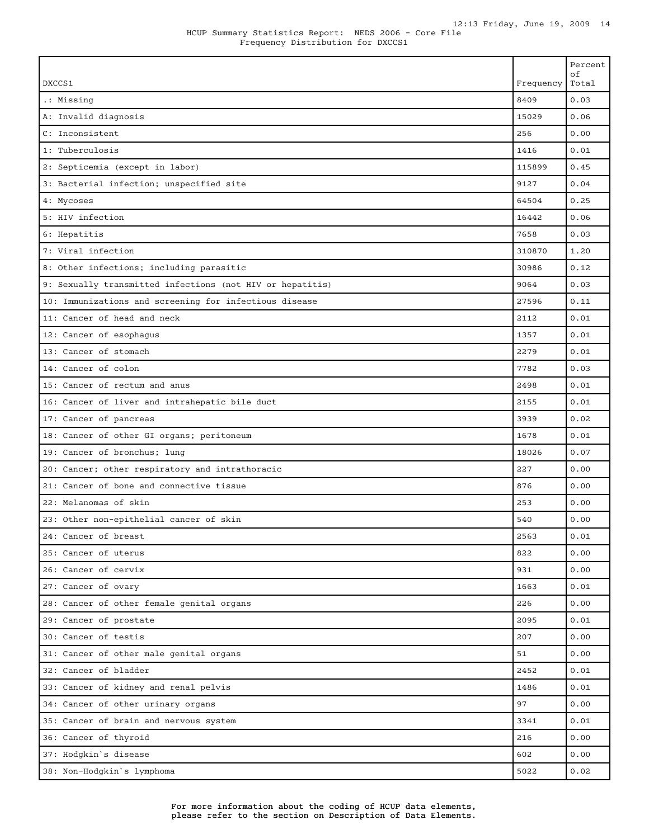|                                                           |           | Percent<br>оf |
|-----------------------------------------------------------|-----------|---------------|
| DXCCS1                                                    | Frequency | Total         |
| .: Missing                                                | 8409      | 0.03          |
| A: Invalid diagnosis                                      | 15029     | 0.06          |
| C: Inconsistent                                           | 256       | 0.00          |
| 1: Tuberculosis                                           | 1416      | 0.01          |
| 2: Septicemia (except in labor)                           | 115899    | 0.45          |
| 3: Bacterial infection; unspecified site                  | 9127      | 0.04          |
| 4: Mycoses                                                | 64504     | 0.25          |
| 5: HIV infection                                          | 16442     | 0.06          |
| 6: Hepatitis                                              | 7658      | 0.03          |
| 7: Viral infection                                        | 310870    | 1.20          |
| 8: Other infections; including parasitic                  | 30986     | 0.12          |
| 9: Sexually transmitted infections (not HIV or hepatitis) | 9064      | 0.03          |
| 10: Immunizations and screening for infectious disease    | 27596     | 0.11          |
| 11: Cancer of head and neck                               | 2112      | 0.01          |
| 12: Cancer of esophagus                                   | 1357      | 0.01          |
| 13: Cancer of stomach                                     | 2279      | 0.01          |
| 14: Cancer of colon                                       | 7782      | 0.03          |
| 15: Cancer of rectum and anus                             | 2498      | 0.01          |
| 16: Cancer of liver and intrahepatic bile duct            | 2155      | 0.01          |
| 17: Cancer of pancreas                                    | 3939      | 0.02          |
| 18: Cancer of other GI organs; peritoneum                 | 1678      | 0.01          |
| 19: Cancer of bronchus; lung                              | 18026     | 0.07          |
| 20: Cancer; other respiratory and intrathoracic           | 227       | 0.00          |
| 21: Cancer of bone and connective tissue                  | 876       | 0.00          |
| 22: Melanomas of skin                                     | 253       | 0.00          |
| 23: Other non-epithelial cancer of skin                   | 540       | 0.00          |
| 24: Cancer of breast                                      | 2563      | 0.01          |
| 25: Cancer of uterus                                      | 822       | 0.00          |
| 26: Cancer of cervix                                      | 931       | 0.00          |
| 27: Cancer of ovary                                       | 1663      | 0.01          |
| 28: Cancer of other female genital organs                 | 226       | 0.00          |
| 29: Cancer of prostate                                    | 2095      | 0.01          |
| 30: Cancer of testis                                      | 207       | 0.00          |
| 31: Cancer of other male genital organs                   | 51        | 0.00          |
| 32: Cancer of bladder                                     | 2452      | 0.01          |
| 33: Cancer of kidney and renal pelvis                     | 1486      | 0.01          |
| 34: Cancer of other urinary organs                        | 97        | 0.00          |
| 35: Cancer of brain and nervous system                    | 3341      | 0.01          |
| 36: Cancer of thyroid                                     | 216       | 0.00          |
| 37: Hodgkin's disease                                     | 602       | 0.00          |
| 38: Non-Hodgkin's lymphoma                                | 5022      | 0.02          |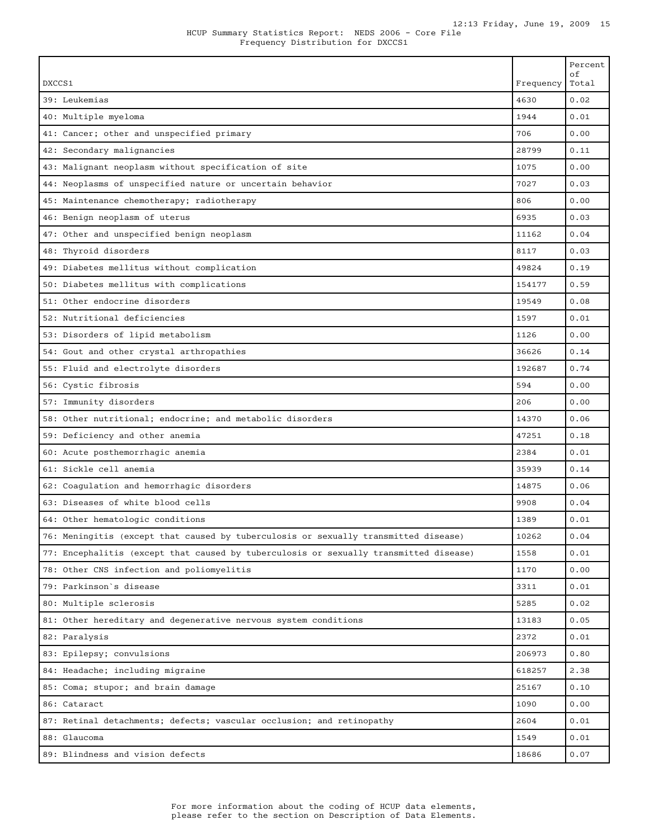|                                                                                       |           | Percent<br>οf |
|---------------------------------------------------------------------------------------|-----------|---------------|
| DXCCS1                                                                                | Frequency | Total         |
| 39: Leukemias                                                                         | 4630      | 0.02          |
| 40: Multiple myeloma                                                                  | 1944      | 0.01          |
| 41: Cancer; other and unspecified primary                                             | 706       | 0.00          |
| 42: Secondary malignancies                                                            | 28799     | 0.11          |
| 43: Malignant neoplasm without specification of site                                  | 1075      | 0.00          |
| 44: Neoplasms of unspecified nature or uncertain behavior                             | 7027      | 0.03          |
| 45: Maintenance chemotherapy; radiotherapy                                            | 806       | 0.00          |
| 46: Benign neoplasm of uterus                                                         | 6935      | 0.03          |
| 47: Other and unspecified benign neoplasm                                             | 11162     | 0.04          |
| 48: Thyroid disorders                                                                 | 8117      | 0.03          |
| 49: Diabetes mellitus without complication                                            | 49824     | 0.19          |
| 50: Diabetes mellitus with complications                                              | 154177    | 0.59          |
| 51: Other endocrine disorders                                                         | 19549     | 0.08          |
| 52: Nutritional deficiencies                                                          | 1597      | 0.01          |
| 53: Disorders of lipid metabolism                                                     | 1126      | 0.00          |
| 54: Gout and other crystal arthropathies                                              | 36626     | 0.14          |
| 55: Fluid and electrolyte disorders                                                   | 192687    | 0.74          |
| 56: Cystic fibrosis                                                                   | 594       | 0.00          |
| 57: Immunity disorders                                                                | 206       | 0.00          |
| 58: Other nutritional; endocrine; and metabolic disorders                             | 14370     | 0.06          |
| 59: Deficiency and other anemia                                                       | 47251     | 0.18          |
| 60: Acute posthemorrhagic anemia                                                      | 2384      | 0.01          |
| 61: Sickle cell anemia                                                                | 35939     | 0.14          |
| 62: Coagulation and hemorrhagic disorders                                             | 14875     | 0.06          |
| 63: Diseases of white blood cells                                                     | 9908      | 0.04          |
| 64: Other hematologic conditions                                                      | 1389      | 0.01          |
| 76: Meningitis (except that caused by tuberculosis or sexually transmitted disease)   | 10262     | 0.04          |
| 77: Encephalitis (except that caused by tuberculosis or sexually transmitted disease) | 1558      | 0.01          |
| 78: Other CNS infection and poliomyelitis                                             | 1170      | 0.00          |
| 79: Parkinson`s disease                                                               | 3311      | 0.01          |
| 80: Multiple sclerosis                                                                | 5285      | 0.02          |
| 81: Other hereditary and degenerative nervous system conditions                       | 13183     | 0.05          |
| 82: Paralysis                                                                         | 2372      | 0.01          |
| 83: Epilepsy; convulsions                                                             | 206973    | 0.80          |
| 84: Headache; including migraine                                                      | 618257    | 2.38          |
| 85: Coma; stupor; and brain damage                                                    | 25167     | 0.10          |
| 86: Cataract                                                                          | 1090      | 0.00          |
| 87: Retinal detachments; defects; vascular occlusion; and retinopathy                 | 2604      | 0.01          |
| 88: Glaucoma                                                                          | 1549      | 0.01          |
| 89: Blindness and vision defects                                                      | 18686     | 0.07          |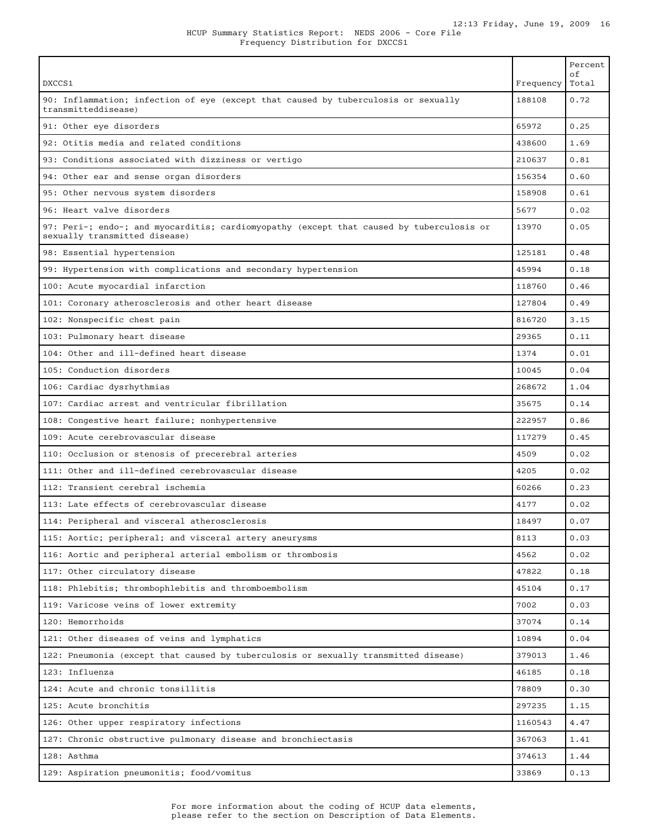| DXCCS1                                                                                                                    | Frequency | Percent<br>оf<br>Total |
|---------------------------------------------------------------------------------------------------------------------------|-----------|------------------------|
| 90: Inflammation; infection of eye (except that caused by tuberculosis or sexually<br>transmitteddisease)                 | 188108    | 0.72                   |
| 91: Other eye disorders                                                                                                   | 65972     | 0.25                   |
| 92: Otitis media and related conditions                                                                                   | 438600    | 1.69                   |
| 93: Conditions associated with dizziness or vertigo                                                                       | 210637    | 0.81                   |
| 94: Other ear and sense organ disorders                                                                                   | 156354    | 0.60                   |
| 95: Other nervous system disorders                                                                                        | 158908    | 0.61                   |
| 96: Heart valve disorders                                                                                                 | 5677      | 0.02                   |
| 97: Peri-; endo-; and myocarditis; cardiomyopathy (except that caused by tuberculosis or<br>sexually transmitted disease) | 13970     | 0.05                   |
| 98: Essential hypertension                                                                                                | 125181    | 0.48                   |
| 99: Hypertension with complications and secondary hypertension                                                            | 45994     | 0.18                   |
| 100: Acute myocardial infarction                                                                                          | 118760    | 0.46                   |
| 101: Coronary atherosclerosis and other heart disease                                                                     | 127804    | 0.49                   |
| 102: Nonspecific chest pain                                                                                               | 816720    | 3.15                   |
| 103: Pulmonary heart disease                                                                                              | 29365     | 0.11                   |
| 104: Other and ill-defined heart disease                                                                                  | 1374      | 0.01                   |
| 105: Conduction disorders                                                                                                 | 10045     | 0.04                   |
| 106: Cardiac dysrhythmias                                                                                                 | 268672    | 1.04                   |
| 107: Cardiac arrest and ventricular fibrillation                                                                          | 35675     | 0.14                   |
| 108: Congestive heart failure; nonhypertensive                                                                            | 222957    | 0.86                   |
| 109: Acute cerebrovascular disease                                                                                        | 117279    | 0.45                   |
| 110: Occlusion or stenosis of precerebral arteries                                                                        | 4509      | 0.02                   |
| 111: Other and ill-defined cerebrovascular disease                                                                        | 4205      | 0.02                   |
| 112: Transient cerebral ischemia                                                                                          | 60266     | 0.23                   |
| 113: Late effects of cerebrovascular disease                                                                              | 4177      | 0.02                   |
| 114: Peripheral and visceral atherosclerosis                                                                              | 18497     | 0.07                   |
| 115: Aortic; peripheral; and visceral artery aneurysms                                                                    | 8113      | 0.03                   |
| 116: Aortic and peripheral arterial embolism or thrombosis                                                                | 4562      | 0.02                   |
| 117: Other circulatory disease                                                                                            | 47822     | 0.18                   |
| 118: Phlebitis; thrombophlebitis and thromboembolism                                                                      | 45104     | 0.17                   |
| 119: Varicose veins of lower extremity                                                                                    | 7002      | 0.03                   |
| 120: Hemorrhoids                                                                                                          | 37074     | 0.14                   |
| 121: Other diseases of veins and lymphatics                                                                               | 10894     | 0.04                   |
| 122: Pneumonia (except that caused by tuberculosis or sexually transmitted disease)                                       | 379013    | 1.46                   |
| 123: Influenza                                                                                                            | 46185     | 0.18                   |
| 124: Acute and chronic tonsillitis                                                                                        | 78809     | 0.30                   |
| 125: Acute bronchitis                                                                                                     | 297235    | 1.15                   |
| 126: Other upper respiratory infections                                                                                   | 1160543   | 4.47                   |
| 127: Chronic obstructive pulmonary disease and bronchiectasis                                                             | 367063    | 1.41                   |
| 128: Asthma                                                                                                               | 374613    | 1.44                   |
| 129: Aspiration pneumonitis; food/vomitus                                                                                 | 33869     | 0.13                   |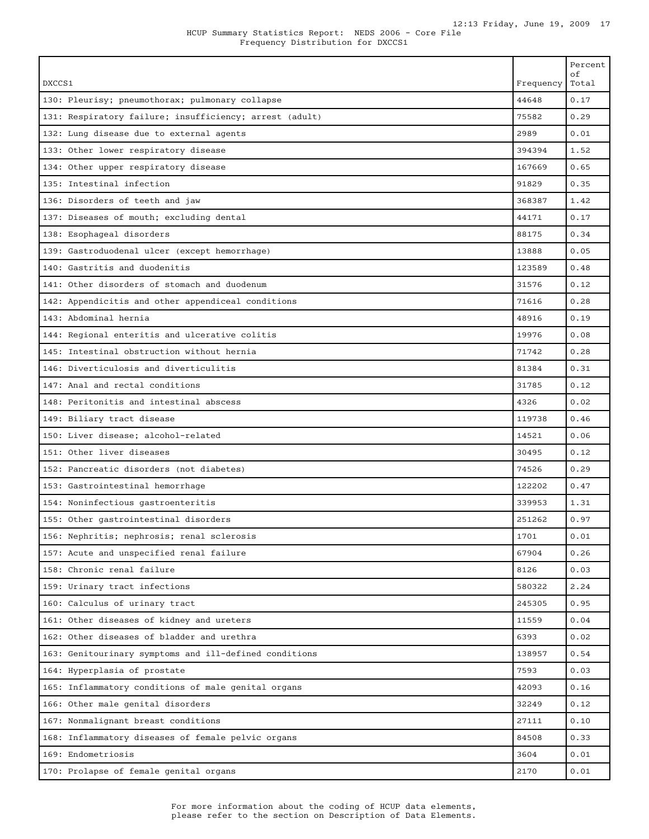| DXCCS1                                                  | Frequency | Percent<br>οf<br>Total |
|---------------------------------------------------------|-----------|------------------------|
| 130: Pleurisy; pneumothorax; pulmonary collapse         | 44648     | 0.17                   |
| 131: Respiratory failure; insufficiency; arrest (adult) | 75582     | 0.29                   |
| 132: Lung disease due to external agents                | 2989      | 0.01                   |
| 133: Other lower respiratory disease                    | 394394    | 1.52                   |
| 134: Other upper respiratory disease                    | 167669    | 0.65                   |
| 135: Intestinal infection                               | 91829     | 0.35                   |
| 136: Disorders of teeth and jaw                         | 368387    | 1.42                   |
| 137: Diseases of mouth; excluding dental                | 44171     | 0.17                   |
| 138: Esophageal disorders                               | 88175     | 0.34                   |
| 139: Gastroduodenal ulcer (except hemorrhage)           | 13888     | 0.05                   |
| 140: Gastritis and duodenitis                           | 123589    | 0.48                   |
| 141: Other disorders of stomach and duodenum            | 31576     | 0.12                   |
| 142: Appendicitis and other appendiceal conditions      | 71616     | 0.28                   |
| 143: Abdominal hernia                                   | 48916     | 0.19                   |
| 144: Regional enteritis and ulcerative colitis          | 19976     | 0.08                   |
| 145: Intestinal obstruction without hernia              | 71742     | 0.28                   |
| 146: Diverticulosis and diverticulitis                  | 81384     | 0.31                   |
| 147: Anal and rectal conditions                         | 31785     | 0.12                   |
| 148: Peritonitis and intestinal abscess                 | 4326      | 0.02                   |
| 149: Biliary tract disease                              | 119738    | 0.46                   |
| 150: Liver disease; alcohol-related                     | 14521     | 0.06                   |
| 151: Other liver diseases                               | 30495     | 0.12                   |
| 152: Pancreatic disorders (not diabetes)                | 74526     | 0.29                   |
| 153: Gastrointestinal hemorrhage                        | 122202    | 0.47                   |
| 154: Noninfectious gastroenteritis                      | 339953    | 1.31                   |
| 155: Other gastrointestinal disorders                   | 251262    | 0.97                   |
| 156: Nephritis; nephrosis; renal sclerosis              | 1701      | 0.01                   |
| 157: Acute and unspecified renal failure                | 67904     | 0.26                   |
| 158: Chronic renal failure                              | 8126      | 0.03                   |
| 159: Urinary tract infections                           | 580322    | 2.24                   |
| 160: Calculus of urinary tract                          | 245305    | 0.95                   |
| 161: Other diseases of kidney and ureters               | 11559     | 0.04                   |
| 162: Other diseases of bladder and urethra              | 6393      | 0.02                   |
| 163: Genitourinary symptoms and ill-defined conditions  | 138957    | 0.54                   |
| 164: Hyperplasia of prostate                            | 7593      | 0.03                   |
| 165: Inflammatory conditions of male genital organs     | 42093     | 0.16                   |
| 166: Other male genital disorders                       | 32249     | 0.12                   |
| 167: Nonmalignant breast conditions                     | 27111     | 0.10                   |
| 168: Inflammatory diseases of female pelvic organs      | 84508     | 0.33                   |
| 169: Endometriosis                                      | 3604      | 0.01                   |
| 170: Prolapse of female genital organs                  | 2170      | 0.01                   |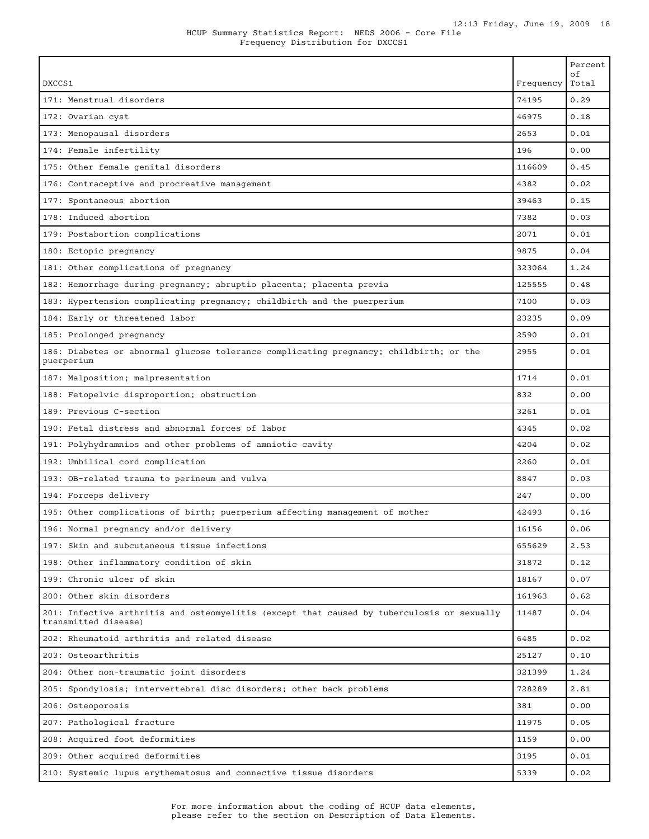| DXCCS1                                                                                                             | Frequency | Percent<br>οf<br>Total |
|--------------------------------------------------------------------------------------------------------------------|-----------|------------------------|
| 171: Menstrual disorders                                                                                           | 74195     | 0.29                   |
| 172: Ovarian cyst                                                                                                  | 46975     | 0.18                   |
| 173: Menopausal disorders                                                                                          | 2653      | 0.01                   |
| 174: Female infertility                                                                                            | 196       | 0.00                   |
| 175: Other female genital disorders                                                                                | 116609    | 0.45                   |
| 176: Contraceptive and procreative management                                                                      | 4382      | 0.02                   |
| 177: Spontaneous abortion                                                                                          | 39463     | 0.15                   |
| 178: Induced abortion                                                                                              | 7382      | 0.03                   |
| 179: Postabortion complications                                                                                    | 2071      | 0.01                   |
| 180: Ectopic pregnancy                                                                                             | 9875      | 0.04                   |
| 181: Other complications of pregnancy                                                                              | 323064    | 1.24                   |
| 182: Hemorrhage during pregnancy; abruptio placenta; placenta previa                                               | 125555    | 0.48                   |
| 183: Hypertension complicating pregnancy; childbirth and the puerperium                                            | 7100      | 0.03                   |
| 184: Early or threatened labor                                                                                     | 23235     | 0.09                   |
| 185: Prolonged pregnancy                                                                                           | 2590      | 0.01                   |
| 186: Diabetes or abnormal glucose tolerance complicating pregnancy; childbirth; or the<br>puerperium               | 2955      | 0.01                   |
| 187: Malposition; malpresentation                                                                                  | 1714      | 0.01                   |
| 188: Fetopelvic disproportion; obstruction                                                                         | 832       | 0.00                   |
| 189: Previous C-section                                                                                            | 3261      | 0.01                   |
| 190: Fetal distress and abnormal forces of labor                                                                   | 4345      | 0.02                   |
| 191: Polyhydramnios and other problems of amniotic cavity                                                          | 4204      | 0.02                   |
| 192: Umbilical cord complication                                                                                   | 2260      | 0.01                   |
| 193: OB-related trauma to perineum and vulva                                                                       | 8847      | 0.03                   |
| 194: Forceps delivery                                                                                              | 247       | 0.00                   |
| 195: Other complications of birth; puerperium affecting management of mother                                       | 42493     | 0.16                   |
| 196: Normal pregnancy and/or delivery                                                                              | 16156     | 0.06                   |
| 197: Skin and subcutaneous tissue infections                                                                       | 655629    | 2.53                   |
| 198: Other inflammatory condition of skin                                                                          | 31872     | 0.12                   |
| 199: Chronic ulcer of skin                                                                                         | 18167     | 0.07                   |
| 200: Other skin disorders                                                                                          | 161963    | 0.62                   |
| 201: Infective arthritis and osteomyelitis (except that caused by tuberculosis or sexually<br>transmitted disease) | 11487     | 0.04                   |
| 202: Rheumatoid arthritis and related disease                                                                      | 6485      | 0.02                   |
| 203: Osteoarthritis                                                                                                | 25127     | 0.10                   |
| 204: Other non-traumatic joint disorders                                                                           | 321399    | 1.24                   |
| 205: Spondylosis; intervertebral disc disorders; other back problems                                               | 728289    | 2.81                   |
| 206: Osteoporosis                                                                                                  | 381       | 0.00                   |
| 207: Pathological fracture                                                                                         | 11975     | 0.05                   |
| 208: Acquired foot deformities                                                                                     | 1159      | 0.00                   |
| 209: Other acquired deformities                                                                                    | 3195      | 0.01                   |
| 210: Systemic lupus erythematosus and connective tissue disorders                                                  | 5339      | 0.02                   |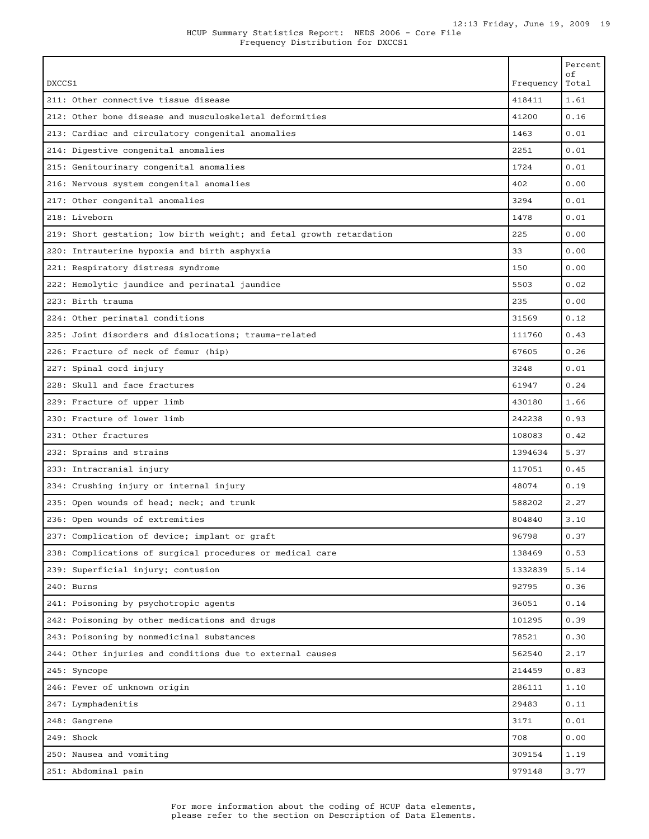| DXCCS1                                                               | Frequency | Percent<br>οf<br>Total |
|----------------------------------------------------------------------|-----------|------------------------|
| 211: Other connective tissue disease                                 | 418411    | 1.61                   |
| 212: Other bone disease and musculoskeletal deformities              | 41200     | 0.16                   |
| 213: Cardiac and circulatory congenital anomalies                    | 1463      | 0.01                   |
| 214: Digestive congenital anomalies                                  | 2251      | 0.01                   |
| 215: Genitourinary congenital anomalies                              | 1724      | 0.01                   |
| 216: Nervous system congenital anomalies                             | 402       | 0.00                   |
| 217: Other congenital anomalies                                      | 3294      | 0.01                   |
| 218: Liveborn                                                        | 1478      | 0.01                   |
| 219: Short gestation; low birth weight; and fetal growth retardation | 225       | 0.00                   |
| 220: Intrauterine hypoxia and birth asphyxia                         | 33        | 0.00                   |
| 221: Respiratory distress syndrome                                   | 150       | 0.00                   |
| 222: Hemolytic jaundice and perinatal jaundice                       | 5503      | 0.02                   |
| 223: Birth trauma                                                    | 235       | 0.00                   |
| 224: Other perinatal conditions                                      | 31569     | 0.12                   |
| 225: Joint disorders and dislocations; trauma-related                | 111760    | 0.43                   |
| 226: Fracture of neck of femur (hip)                                 | 67605     | 0.26                   |
| 227: Spinal cord injury                                              | 3248      | 0.01                   |
| 228: Skull and face fractures                                        | 61947     | 0.24                   |
| 229: Fracture of upper limb                                          | 430180    | 1.66                   |
| 230: Fracture of lower limb                                          | 242238    | 0.93                   |
| 231: Other fractures                                                 | 108083    | 0.42                   |
| 232: Sprains and strains                                             | 1394634   | 5.37                   |
| 233: Intracranial injury                                             | 117051    | 0.45                   |
| 234: Crushing injury or internal injury                              | 48074     | 0.19                   |
| 235: Open wounds of head; neck; and trunk                            | 588202    | 2.27                   |
| 236: Open wounds of extremities                                      | 804840    | 3.10                   |
| 237: Complication of device; implant or graft                        | 96798     | 0.37                   |
| 238: Complications of surgical procedures or medical care            | 138469    | 0.53                   |
| 239: Superficial injury; contusion                                   | 1332839   | 5.14                   |
| 240: Burns                                                           | 92795     | 0.36                   |
| 241: Poisoning by psychotropic agents                                | 36051     | 0.14                   |
| 242: Poisoning by other medications and drugs                        | 101295    | 0.39                   |
| 243: Poisoning by nonmedicinal substances                            | 78521     | 0.30                   |
| 244: Other injuries and conditions due to external causes            | 562540    | 2.17                   |
| 245: Syncope                                                         | 214459    | 0.83                   |
| 246: Fever of unknown origin                                         | 286111    | 1.10                   |
| 247: Lymphadenitis                                                   | 29483     | 0.11                   |
| 248: Gangrene                                                        | 3171      | 0.01                   |
| 249: Shock                                                           | 708       | 0.00                   |
| 250: Nausea and vomiting                                             | 309154    | 1.19                   |
| 251: Abdominal pain                                                  | 979148    | 3.77                   |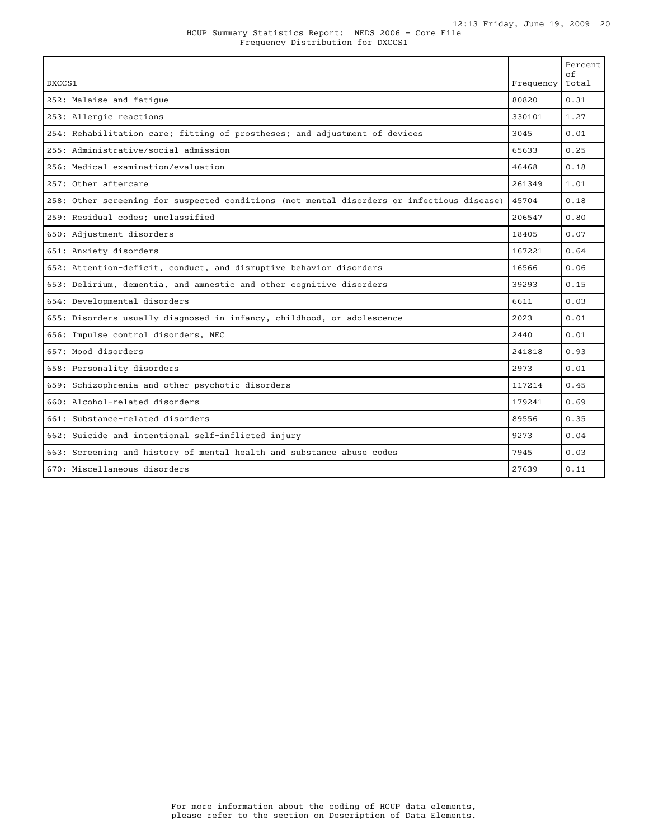| DXCCS1                                                                                     | Frequency | Percent<br>$\circ$ f<br>Total |
|--------------------------------------------------------------------------------------------|-----------|-------------------------------|
| 252: Malaise and fatique                                                                   | 80820     | 0.31                          |
| 253: Allergic reactions                                                                    | 330101    | 1.27                          |
| 254: Rehabilitation care; fitting of prostheses; and adjustment of devices                 | 3045      | 0.01                          |
| 255: Administrative/social admission                                                       | 65633     | 0.25                          |
| 256: Medical examination/evaluation                                                        | 46468     | 0.18                          |
| 257: Other aftercare                                                                       | 261349    | 1.01                          |
| 258: Other screening for suspected conditions (not mental disorders or infectious disease) | 45704     | 0.18                          |
| 259: Residual codes; unclassified                                                          | 206547    | 0.80                          |
| 650: Adjustment disorders                                                                  | 18405     | 0.07                          |
| 651: Anxiety disorders                                                                     | 167221    | 0.64                          |
| 652: Attention-deficit, conduct, and disruptive behavior disorders                         | 16566     | 0.06                          |
| 653: Delirium, dementia, and amnestic and other cognitive disorders                        | 39293     | 0.15                          |
| 654: Developmental disorders                                                               | 6611      | 0.03                          |
| 655: Disorders usually diagnosed in infancy, childhood, or adolescence                     | 2023      | 0.01                          |
| 656: Impulse control disorders, NEC                                                        | 2440      | 0.01                          |
| 657: Mood disorders                                                                        | 241818    | 0.93                          |
| 658: Personality disorders                                                                 | 2973      | 0.01                          |
| 659: Schizophrenia and other psychotic disorders                                           | 117214    | 0.45                          |
| 660: Alcohol-related disorders                                                             | 179241    | 0.69                          |
| 661: Substance-related disorders                                                           | 89556     | 0.35                          |
| 662: Suicide and intentional self-inflicted injury                                         | 9273      | 0.04                          |
| 663: Screening and history of mental health and substance abuse codes                      | 7945      | 0.03                          |
| 670: Miscellaneous disorders                                                               | 27639     | 0.11                          |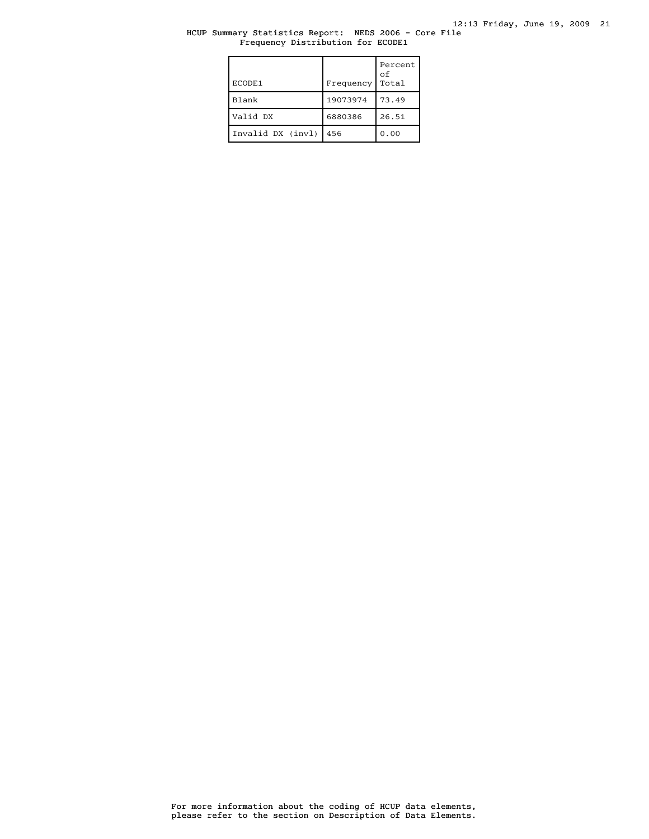# HCUP Summary Statistics Report: NEDS 2006 - Core File Frequency Distribution for ECODE1

| ECODE1            | Frequency | Percent<br>$\circ$ f<br>Total |
|-------------------|-----------|-------------------------------|
| Blank             | 19073974  | 73.49                         |
| Valid DX          | 6880386   | 26.51                         |
| Invalid DX (invl) | 456       | 0.00                          |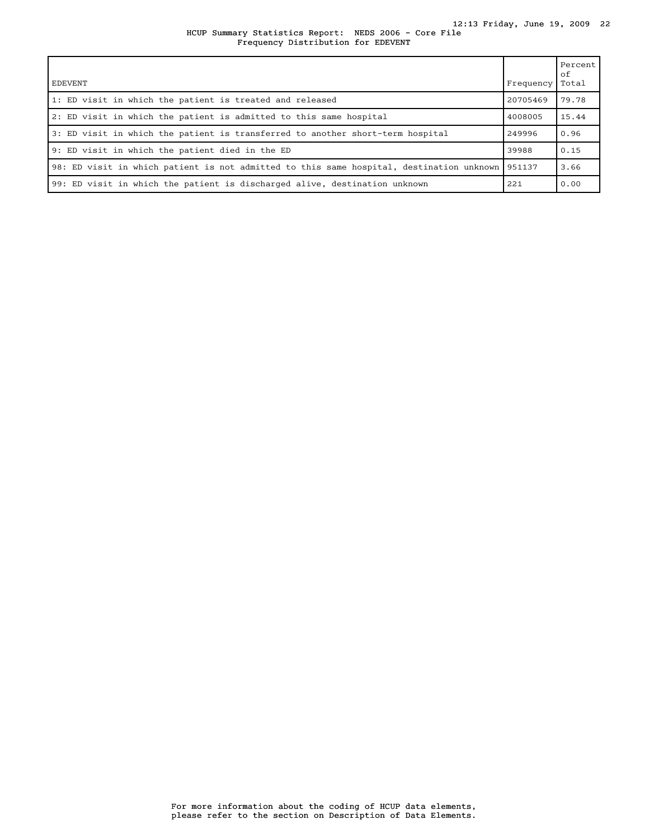HCUP Summary Statistics Report: NEDS 2006 - Core File Frequency Distribution for EDEVENT

| <b>EDEVENT</b>                                                                           | Frequency | Percent<br>оf<br>Total |
|------------------------------------------------------------------------------------------|-----------|------------------------|
| 1: ED visit in which the patient is treated and released                                 | 20705469  | 79.78                  |
| 2: ED visit in which the patient is admitted to this same hospital                       | 4008005   | 15.44                  |
| 3: ED visit in which the patient is transferred to another short-term hospital           | 249996    | 0.96                   |
| 9: ED visit in which the patient died in the ED                                          | 39988     | 0.15                   |
| 98: ED visit in which patient is not admitted to this same hospital, destination unknown | 951137    | 3.66                   |
| 99: ED visit in which the patient is discharged alive, destination unknown               | 221       | 0.00                   |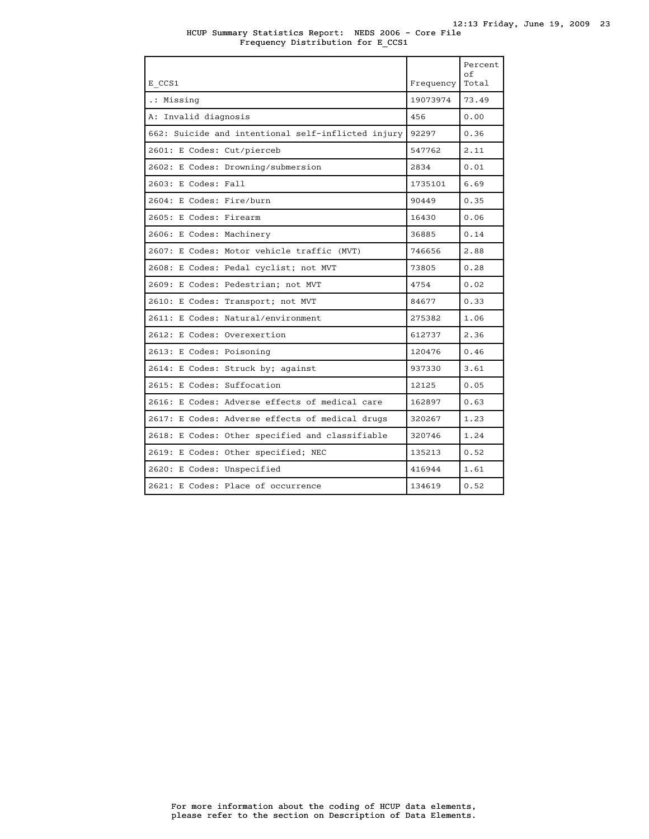HCUP Summary Statistics Report: NEDS 2006 - Core File Frequency Distribution for E\_CCS1

| E CCS1                                             | Frequency | Percent<br>оf<br>Total |
|----------------------------------------------------|-----------|------------------------|
| .: Missing                                         | 19073974  | 73.49                  |
| A: Invalid diagnosis                               | 456       | 0.00                   |
| 662: Suicide and intentional self-inflicted injury | 92297     | 0.36                   |
| 2601: E Codes: Cut/pierceb                         | 547762    | 2.11                   |
| 2602: E Codes: Drowning/submersion                 | 2834      | 0.01                   |
| 2603: E Codes: Fall                                | 1735101   | 6.69                   |
| 2604: E Codes: Fire/burn                           | 90449     | 0.35                   |
| 2605: E Codes: Firearm                             | 16430     | 0.06                   |
| 2606: E Codes: Machinery                           | 36885     | 0.14                   |
| 2607: E Codes: Motor vehicle traffic (MVT)         | 746656    | 2.88                   |
| 2608: E Codes: Pedal cyclist; not MVT              | 73805     | 0.28                   |
| 2609: E Codes: Pedestrian; not MVT                 | 4754      | 0.02                   |
| 2610: E Codes: Transport; not MVT                  | 84677     | 0.33                   |
| 2611: E Codes: Natural/environment                 | 275382    | 1.06                   |
| 2612: E Codes: Overexertion                        | 612737    | 2.36                   |
| 2613: E Codes: Poisoning                           | 120476    | 0.46                   |
| 2614: E Codes: Struck by; against                  | 937330    | 3.61                   |
| 2615: E Codes: Suffocation                         | 12125     | 0.05                   |
| 2616: E Codes: Adverse effects of medical care     | 162897    | 0.63                   |
| 2617: E Codes: Adverse effects of medical drugs    | 320267    | 1.23                   |
| 2618: E Codes: Other specified and classifiable    | 320746    | 1.24                   |
| 2619: E Codes: Other specified; NEC                | 135213    | 0.52                   |
| 2620: E Codes: Unspecified                         | 416944    | 1.61                   |
| 2621: E Codes: Place of occurrence                 | 134619    | 0.52                   |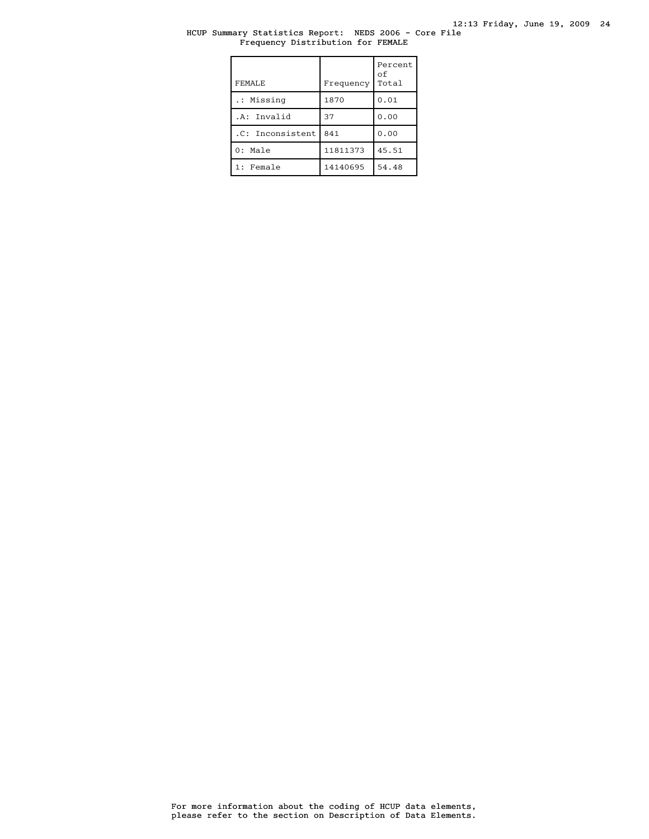# HCUP Summary Statistics Report: NEDS 2006 - Core File Frequency Distribution for FEMALE

| FEMALE.          | Frequency | Percent<br>of<br>Total |
|------------------|-----------|------------------------|
| .: Missing       | 1870      | 0.01                   |
| .A: Invalid      | 37        | 0.00                   |
| .C: Inconsistent | 841       | 0.00                   |
| $0:$ Male        | 11811373  | 45.51                  |
| 1: Female        | 14140695  | 54.48                  |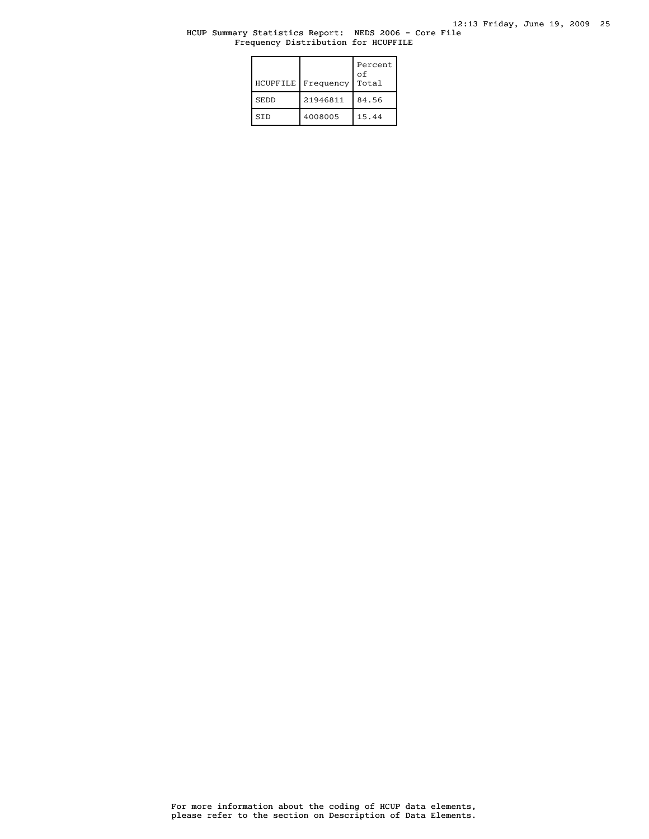### HCUP Summary Statistics Report: NEDS 2006 - Core File Frequency Distribution for HCUPFILE

| HCUPFILE    | Frequency | Percent<br>οf<br>Total |
|-------------|-----------|------------------------|
| <b>SEDD</b> | 21946811  | 84.56                  |
| <b>STD</b>  | 4008005   | 15.44                  |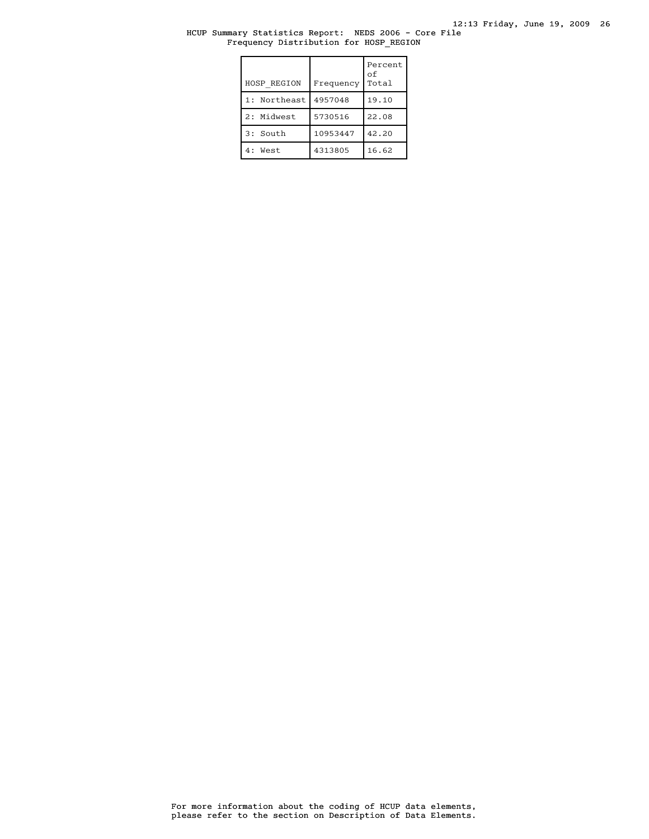12:13 Friday, June 19, 2009 26

HCUP Summary Statistics Report: NEDS 2006 - Core File Frequency Distribution for HOSP\_REGION

| <b>HOSP REGION</b> | Frequency | Percent<br>оf<br>Total |
|--------------------|-----------|------------------------|
| 1: Northeast       | 4957048   | 19.10                  |
| 2: Midwest         | 5730516   | 22.08                  |
| 3: South           | 10953447  | 42.20                  |
| 4 :<br>West        | 4313805   | 16.62                  |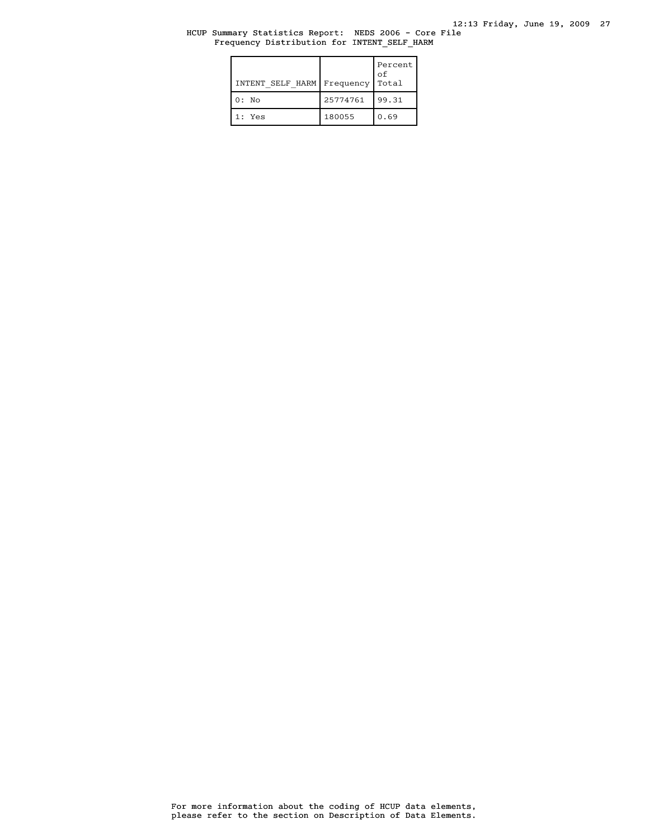### HCUP Summary Statistics Report: NEDS 2006 - Core File Frequency Distribution for INTENT\_SELF\_HARM

| INTENT SELF HARM   Frequency |          | Percent  <br>оf<br>Total |
|------------------------------|----------|--------------------------|
| $0:$ No                      | 25774761 | 99.31                    |
| 1: Yes                       | 180055   | 0.69                     |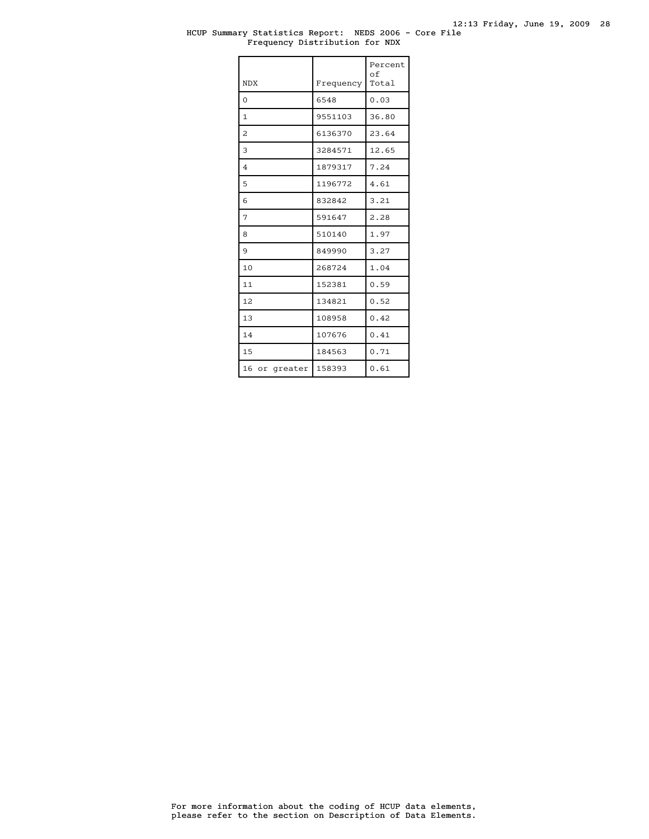### HCUP Summary Statistics Report: NEDS 2006 - Core File Frequency Distribution for NDX

| <b>NDX</b>              | Frequency | Percent<br>оf<br>Total |
|-------------------------|-----------|------------------------|
| $\Omega$                | 6548      | 0.03                   |
| $\mathbf{1}$            | 9551103   | 36.80                  |
| $\overline{\mathbf{c}}$ | 6136370   | 23.64                  |
| 3                       | 3284571   | 12.65                  |
| $\overline{4}$          | 1879317   | 7.24                   |
| 5                       | 1196772   | 4.61                   |
| 6                       | 832842    | 3.21                   |
| 7                       | 591647    | 2.28                   |
| 8                       | 510140    | 1.97                   |
| 9                       | 849990    | 3.27                   |
| 10                      | 268724    | 1.04                   |
| 11                      | 152381    | 0.59                   |
| 12                      | 134821    | 0.52                   |
| 13                      | 108958    | 0.42                   |
| 14                      | 107676    | 0.41                   |
| 15                      | 184563    | 0.71                   |
| 16 or greater           | 158393    | 0.61                   |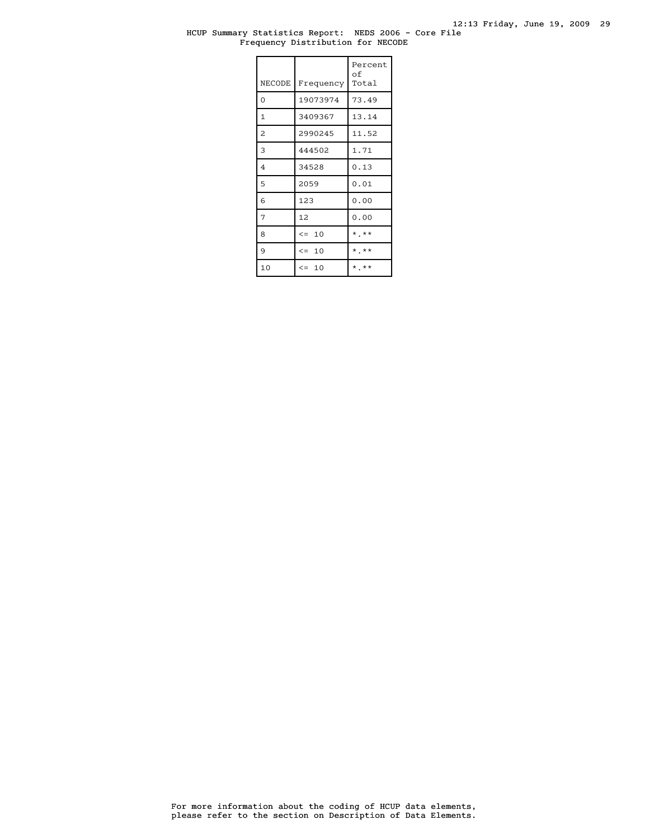#### HCUP Summary Statistics Report: NEDS 2006 - Core File Frequency Distribution for NECODE

| <b>NECODE</b>  | Frequency | Percent<br>оf<br>Total |
|----------------|-----------|------------------------|
| $\overline{0}$ | 19073974  | 73.49                  |
| $\mathbf{1}$   | 3409367   | 13.14                  |
| 2              | 2990245   | 11.52                  |
| 3              | 444502    | 1.71                   |
| $\overline{4}$ | 34528     | 0.13                   |
| 5              | 2059      | 0.01                   |
| 6              | 123       | 0.00                   |
| 7              | 12        | 0.00                   |
| 8              | $\leq$ 10 | $*$ , $**$             |
| 9              | $\leq$ 10 | $*$ **                 |
| 10             | $\leq$ 10 | $*$ , $**$             |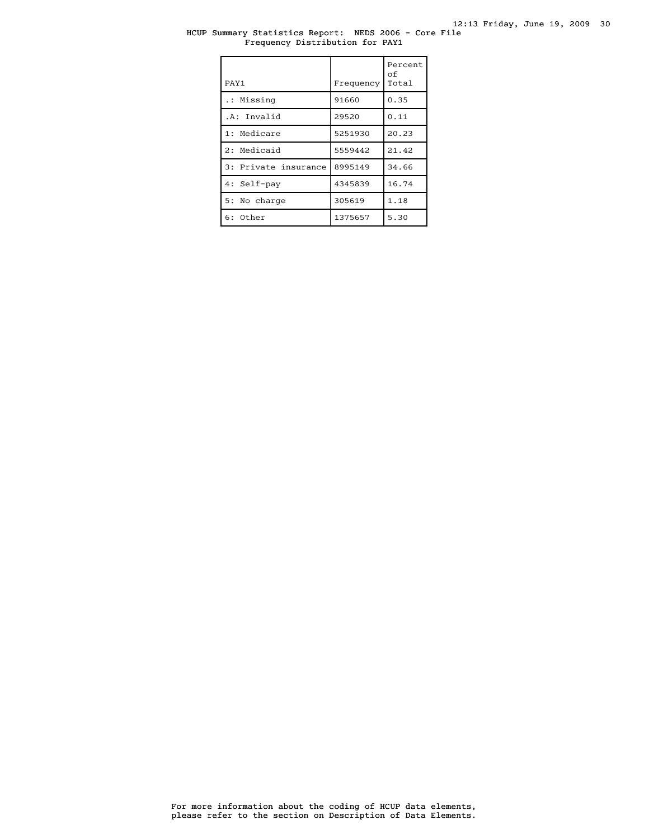# HCUP Summary Statistics Report: NEDS 2006 - Core File Frequency Distribution for PAY1

| PAY1                 | Frequency | Percent<br>оf<br>Total |
|----------------------|-----------|------------------------|
| .: Missing           | 91660     | 0.35                   |
| .A: Invalid          | 29520     | 0.11                   |
| 1: Medicare          | 5251930   | 20.23                  |
| 2: Medicaid          | 5559442   | 21.42                  |
| 3: Private insurance | 8995149   | 34.66                  |
| 4: Self-pay          | 4345839   | 16.74                  |
| 5: No charge         | 305619    | 1.18                   |
| $6:$ Other           | 1375657   | 5.30                   |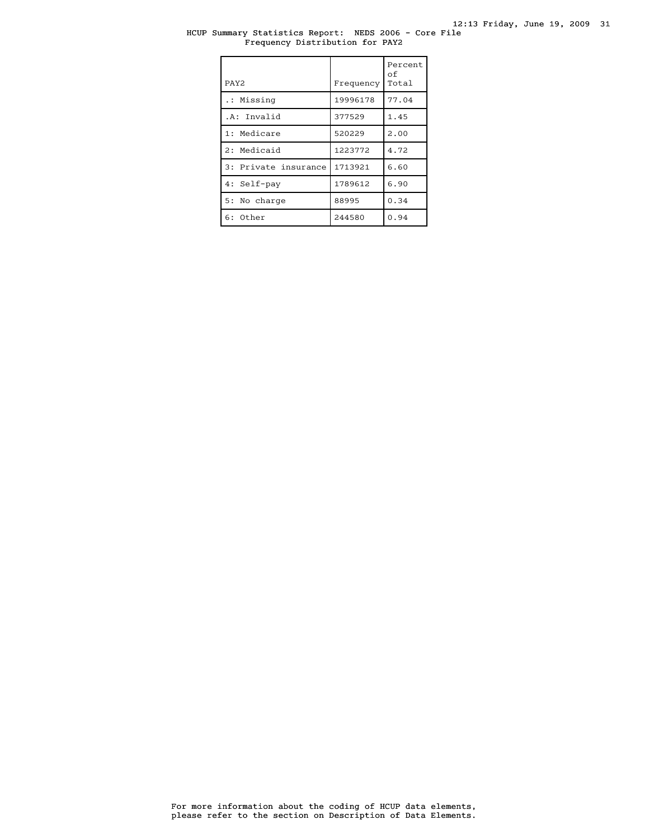# HCUP Summary Statistics Report: NEDS 2006 - Core File Frequency Distribution for PAY2

| PAY <sub>2</sub>     | Frequency | Percent<br>οf<br>Total |
|----------------------|-----------|------------------------|
| .: Missing           | 19996178  | 77.04                  |
| .A: Invalid          | 377529    | 1.45                   |
| 1: Medicare          | 520229    | 2.00                   |
| 2: Medicaid          | 1223772   | 4.72                   |
| 3: Private insurance | 1713921   | 6.60                   |
| 4: Self-pay          | 1789612   | 6.90                   |
| 5: No charge         | 88995     | 0.34                   |
| $6:$ Other           | 244580    | 0.94                   |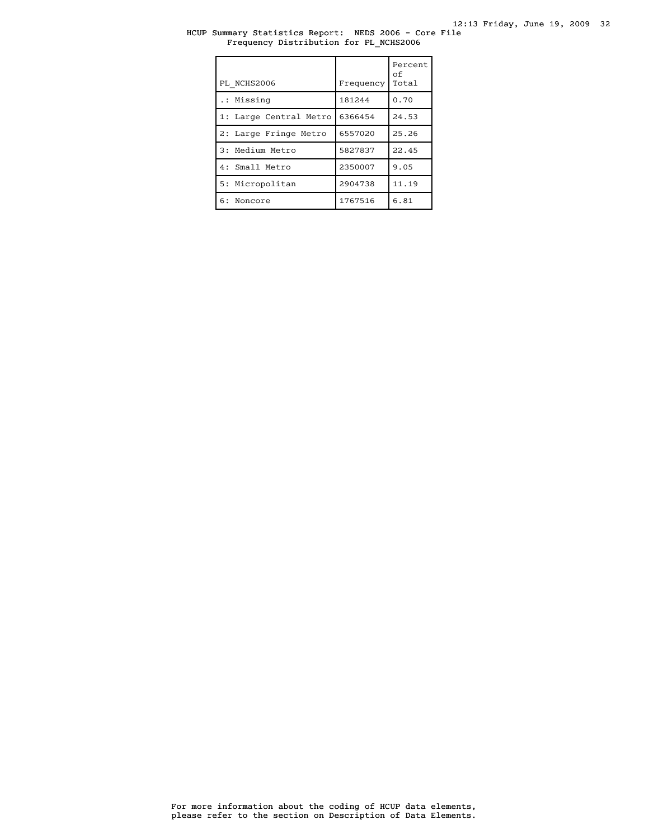# HCUP Summary Statistics Report: NEDS 2006 - Core File Frequency Distribution for PL\_NCHS2006

| PL NCHS2006            | Frequency | Percent<br>οf<br>Total |
|------------------------|-----------|------------------------|
| .: Missing             | 181244    | 0.70                   |
| 1: Large Central Metro | 6366454   | 24.53                  |
| 2: Large Fringe Metro  | 6557020   | 25.26                  |
| 3: Medium Metro        | 5827837   | 22.45                  |
| 4: Small Metro         | 2350007   | 9.05                   |
| 5: Micropolitan        | 2904738   | 11.19                  |
| 6: Noncore             | 1767516   | 6.81                   |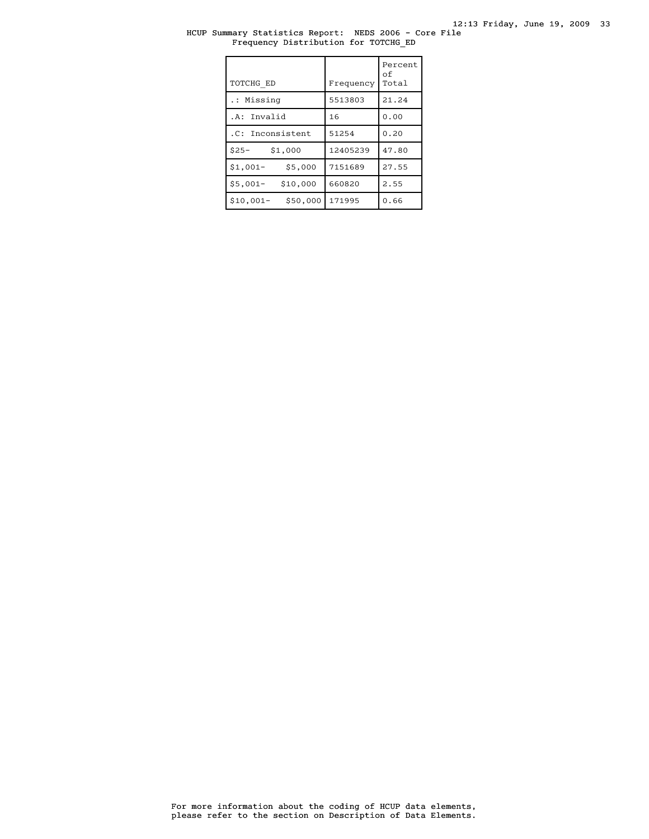# HCUP Summary Statistics Report: NEDS 2006 - Core File Frequency Distribution for TOTCHG\_ED

| TOTCHG ED             | Frequency | Percent<br>οf<br>Total |
|-----------------------|-----------|------------------------|
| .: Missing            | 5513803   | 21.24                  |
| .A: Invalid           | 16        | 0.00                   |
| .C: Inconsistent      | 51254     | 0.20                   |
| $$25-$<br>\$1,000     | 12405239  | 47.80                  |
| \$5,000<br>$$1,001-$  | 7151689   | 27.55                  |
| \$10,000<br>$$5,001-$ | 660820    | 2.55                   |
| \$50,000<br>\$10,001- | 171995    | 0.66                   |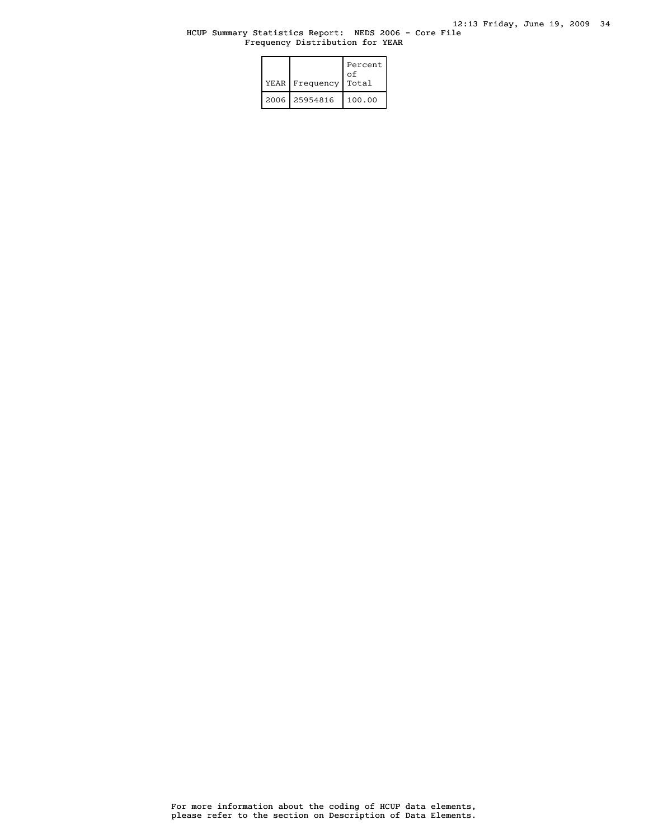### HCUP Summary Statistics Report: NEDS 2006 - Core File Frequency Distribution for YEAR

|  | YEAR   Frequency | Percent<br>οf<br>Total |
|--|------------------|------------------------|
|  | 2006 25954816    | 100.00                 |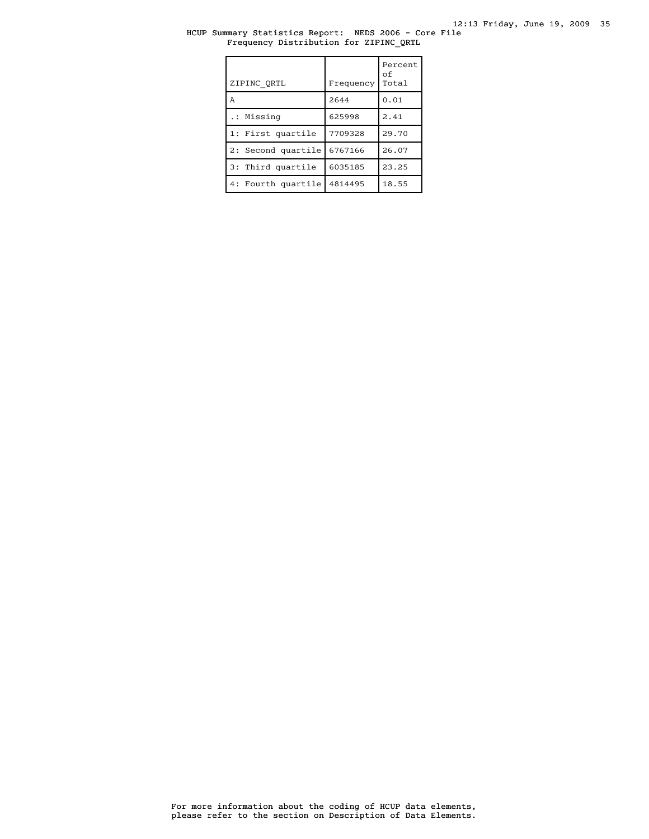# HCUP Summary Statistics Report: NEDS 2006 - Core File Frequency Distribution for ZIPINC\_QRTL

| ZIPINC ORTL        | Frequency | Percent<br>οf<br>Total |
|--------------------|-----------|------------------------|
| A                  | 2644      | 0.01                   |
| .: Missing         | 625998    | 2.41                   |
| 1: First quartile  | 7709328   | 29.70                  |
| 2: Second quartile | 6767166   | 26.07                  |
| 3: Third quartile  | 6035185   | 23.25                  |
| 4: Fourth quartile | 4814495   | 18.55                  |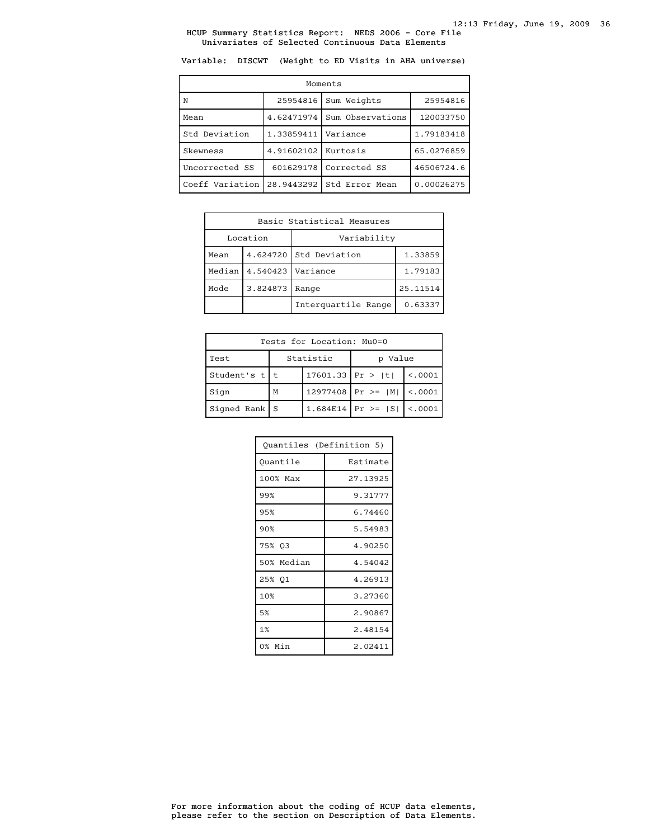Variable: DISCWT (Weight to ED Visits in AHA universe)

| Moments         |            |                  |            |  |
|-----------------|------------|------------------|------------|--|
| N               | 25954816   | Sum Weights      | 25954816   |  |
| Mean            | 4.62471974 | Sum Observations | 120033750  |  |
| Std Deviation   | 1.33859411 | Variance         | 1.79183418 |  |
| Skewness        | 4.91602102 | Kurtosis         | 65.0276859 |  |
| Uncorrected SS  | 601629178  | Corrected SS     | 46506724.6 |  |
| Coeff Variation | 28.9443292 | Std Error Mean   | 0.00026275 |  |

| Basic Statistical Measures     |          |                        |         |
|--------------------------------|----------|------------------------|---------|
|                                | Location | Variability            |         |
| Mean                           |          | 4.624720 Std Deviation | 1.33859 |
| Median<br>4.540423<br>Variance |          | 1.79183                |         |
| Mode<br>3.824873<br>Range      |          | 25.11514               |         |
|                                |          | Interquartile Range    | 0.63337 |

| Tests for Location: Mu0=0 |                         |  |                                 |          |  |
|---------------------------|-------------------------|--|---------------------------------|----------|--|
| Test                      | Statistic<br>Value<br>D |  |                                 |          |  |
| Student's $t$   t         | $17601.33$ Pr >  t      |  |                                 | < 0.0001 |  |
| Sign                      | M                       |  | 12977408   Pr >= $ M $ <.0001   |          |  |
| Signed Rank   S           |                         |  | 1.684E14   Pr >= $ S $   <.0001 |          |  |

| Ouantiles (Definition 5) |          |  |
|--------------------------|----------|--|
| Quantile                 | Estimate |  |
| 100% Max                 | 27.13925 |  |
| 99%                      | 9.31777  |  |
| 95%                      | 6.74460  |  |
| 90%                      | 5.54983  |  |
| 75% 03                   | 4.90250  |  |
| 50% Median               | 4.54042  |  |
| 25% Q1                   | 4.26913  |  |
| 10%                      | 3.27360  |  |
| 5%                       | 2.90867  |  |
| 1%                       | 2.48154  |  |
| 0% Min                   | 2.02411  |  |

please refer to the section on Description of Data Elements. For more information about the coding of HCUP data elements,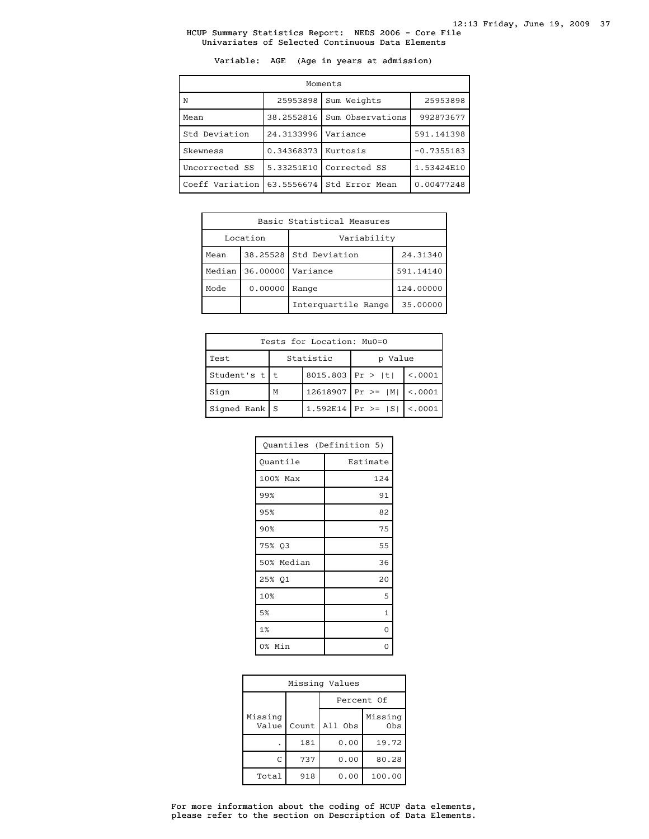Variable: AGE (Age in years at admission)

| Moments         |            |                  |              |  |
|-----------------|------------|------------------|--------------|--|
| N               | 25953898   | Sum Weights      | 25953898     |  |
| Mean            | 38.2552816 | Sum Observations | 992873677    |  |
| Std Deviation   | 24.3133996 | Variance         | 591.141398   |  |
| Skewness        | 0.34368373 | Kurtosis         | $-0.7355183$ |  |
| Uncorrected SS  | 5.33251E10 | Corrected SS     | 1.53424E10   |  |
| Coeff Variation | 63.5556674 | Std Error Mean   | 0.00477248   |  |

| Basic Statistical Measures |          |                                    |           |
|----------------------------|----------|------------------------------------|-----------|
| Location                   |          | Variability                        |           |
| Mean                       |          | 38.25528 Std Deviation<br>24.31340 |           |
| Median                     | 36,00000 | Variance                           | 591.14140 |
| Mode                       | 0.00000  | Range                              | 124.00000 |
|                            |          | Interquartile Range                | 35,00000  |

| Tests for Location: Mu0=0 |                         |  |                                 |         |  |
|---------------------------|-------------------------|--|---------------------------------|---------|--|
| Test                      | Statistic<br>Value<br>D |  |                                 |         |  |
| Student's t t             | 8015.803 Pr >  t        |  |                                 | < .0001 |  |
| Sign                      | M                       |  | 12618907   Pr >= $ M $   <.0001 |         |  |
| $Signal Rank$ S           |                         |  | 1.592E14   Pr >= $ S $          | < .0001 |  |

| Quantiles (Definition 5) |              |  |
|--------------------------|--------------|--|
| Quantile                 | Estimate     |  |
| 100% Max                 | 124          |  |
| 99%                      | 91           |  |
| 95%                      | 82           |  |
| 90%                      | 75           |  |
| 75% Q3                   | 55           |  |
| 50% Median               | 36           |  |
| 25% Q1                   | 20           |  |
| 10%                      | 5            |  |
| 5%                       | $\mathbf{1}$ |  |
| 1%                       | $\Omega$     |  |
| 0% Min                   |              |  |

| Missing Values   |            |         |                |
|------------------|------------|---------|----------------|
|                  | Percent Of |         |                |
| Missing<br>Value | Count      | All Obs | Missing<br>Obs |
|                  | 181        | 0.00    | 19.72          |
| C                | 737        | 0.00    | 80.28          |
| Total            | 918        | 0.00    | 100.00         |

please refer to the section on Description of Data Elements. For more information about the coding of HCUP data elements,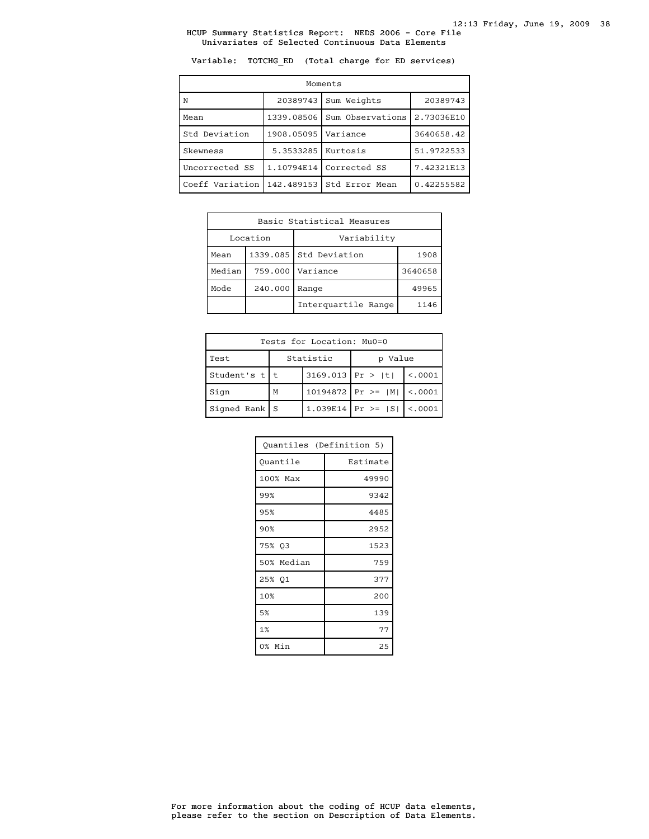Variable: TOTCHG\_ED (Total charge for ED services)

| Moments         |            |                  |            |  |
|-----------------|------------|------------------|------------|--|
| N               | 20389743   | Sum Weights      | 20389743   |  |
| Mean            | 1339.08506 | Sum Observations | 2.73036E10 |  |
| Std Deviation   | 1908.05095 | Variance         | 3640658.42 |  |
| Skewness        | 5.3533285  | Kurtosis         | 51.9722533 |  |
| Uncorrected SS  | 1.10794E14 | Corrected SS     | 7.42321E13 |  |
| Coeff Variation | 142.489153 | Std Error Mean   | 0.42255582 |  |

| Basic Statistical Measures |                    |                                |         |
|----------------------------|--------------------|--------------------------------|---------|
| Location<br>Variability    |                    |                                |         |
| Mean                       |                    | 1339.085 Std Deviation<br>1908 |         |
| Median                     | 759.000   Variance |                                | 3640658 |
| Mode<br>240.000<br>Range   |                    | 49965                          |         |
| Interquartile Range        |                    | 1146                           |         |

| Tests for Location: Mu0=0 |           |                    |                                 |          |  |  |
|---------------------------|-----------|--------------------|---------------------------------|----------|--|--|
| Test                      | Statistic |                    | p Value                         |          |  |  |
| Student's $t$   t         |           | $3169.013$ Pr >  t |                                 | < 0.0001 |  |  |
| Sign                      | М         |                    | $10194872$ Pr >=  M   <.0001    |          |  |  |
| Signed Rank $S$           |           |                    | 1.039E14   Pr >= $ S $   <.0001 |          |  |  |

| Quantiles (Definition 5) |          |  |  |  |
|--------------------------|----------|--|--|--|
| Ouantile                 | Estimate |  |  |  |
| 100% Max                 | 49990    |  |  |  |
| 99%                      | 9342     |  |  |  |
| 95%                      | 4485     |  |  |  |
| 90%                      | 2952     |  |  |  |
| 75% Q3                   | 1523     |  |  |  |
| 50% Median               | 759      |  |  |  |
| 25% Q1                   | 377      |  |  |  |
| 10%                      | 200      |  |  |  |
| 5%                       | 139      |  |  |  |
| 1%                       | 77       |  |  |  |
| 0% Min                   | 25       |  |  |  |